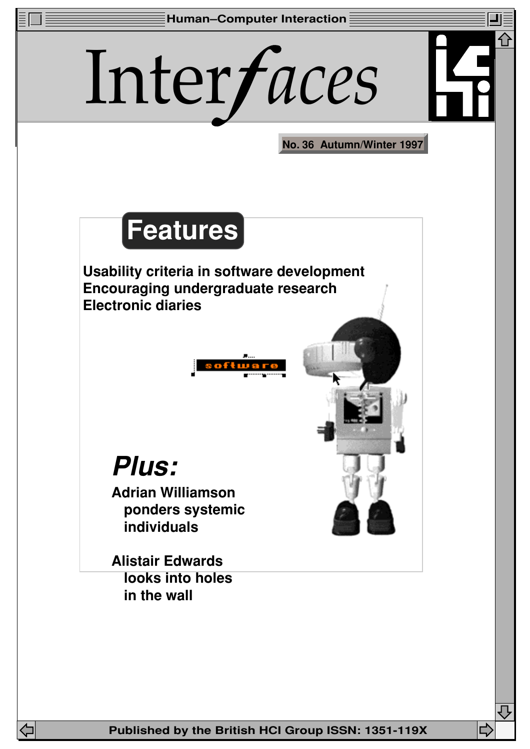

ビ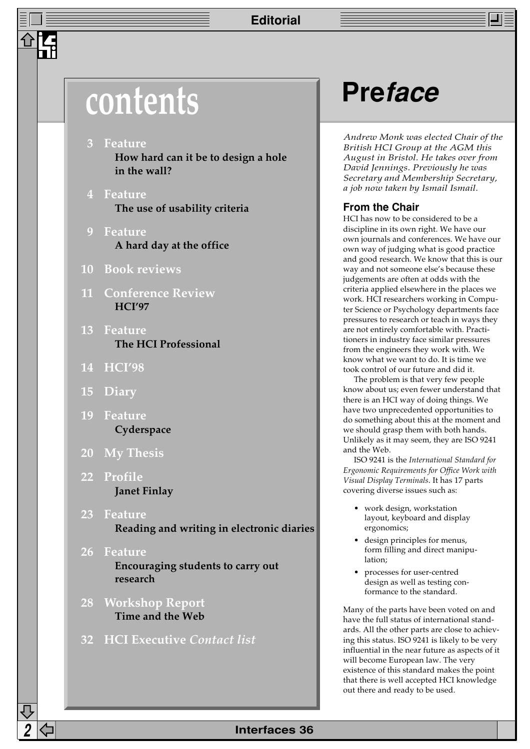## **Editorial**

## **contents Preface**

- **3 Feature How hard can it be to design a hole in the wall?**
- **4 Feature The use of usability criteria**
- **9 Feature A hard day at the office**
- **10 Book reviews**
- **11 Conference Review HCI'97**
- **13 Feature The HCI Professional**
- **14 HCI'98**
- **15 Diary**
- **19 Feature Cyderspace**
- **20 My Thesis**
- **22 Profile Janet Finlay**
- **23 Feature Reading and writing in electronic diaries**
- **26 Feature Encouraging students to carry out research**
- **28 Workshop Report Time and the Web**
- **32 HCI Executive** *Contact list*

*Andrew Monk was elected Chair of the British HCI Group at the AGM this August in Bristol. He takes over from David Jennings. Previously he was Secretary and Membership Secretary, a job now taken by Ismail Ismail.*

## **From the Chair**

HCI has now to be considered to be a discipline in its own right. We have our own journals and conferences. We have our own way of judging what is good practice and good research. We know that this is our way and not someone else's because these judgements are often at odds with the criteria applied elsewhere in the places we work. HCI researchers working in Computer Science or Psychology departments face pressures to research or teach in ways they are not entirely comfortable with. Practitioners in industry face similar pressures from the engineers they work with. We know what we want to do. It is time we took control of our future and did it.

The problem is that very few people know about us; even fewer understand that there is an HCI way of doing things. We have two unprecedented opportunities to do something about this at the moment and we should grasp them with both hands. Unlikely as it may seem, they are ISO 9241 and the Web.

ISO 9241 is the *International Standard for Ergonomic Requirements for Office Work with Visual Display Terminals*. It has 17 parts covering diverse issues such as:

- work design, workstation layout, keyboard and display ergonomics;
- design principles for menus, form filling and direct manipulation;
- processes for user-centred design as well as testing conformance to the standard.

Many of the parts have been voted on and have the full status of international standards. All the other parts are close to achieving this status. ISO 9241 is likely to be very influential in the near future as aspects of it will become European law. The very existence of this standard makes the point that there is well accepted HCI knowledge out there and ready to be used.

## **2 Interfaces 36**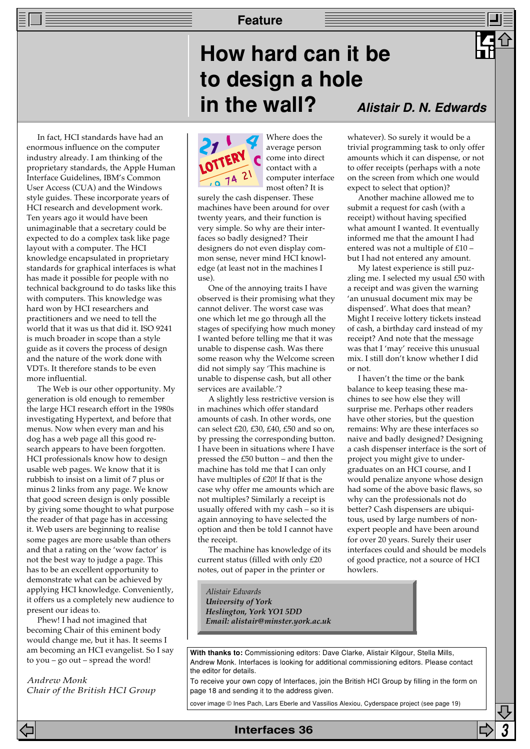## **How hard can it be to design a hole in the wall?**

In fact, HCI standards have had an enormous influence on the computer industry already. I am thinking of the proprietary standards, the Apple Human Interface Guidelines, IBM's Common User Access (CUA) and the Windows style guides. These incorporate years of HCI research and development work. Ten years ago it would have been unimaginable that a secretary could be expected to do a complex task like page layout with a computer. The HCI knowledge encapsulated in proprietary standards for graphical interfaces is what has made it possible for people with no technical background to do tasks like this with computers. This knowledge was hard won by HCI researchers and practitioners and we need to tell the world that it was us that did it. ISO 9241 is much broader in scope than a style guide as it covers the process of design and the nature of the work done with VDTs. It therefore stands to be even more influential.

The Web is our other opportunity. My generation is old enough to remember the large HCI research effort in the 1980s investigating Hypertext, and before that menus. Now when every man and his dog has a web page all this good research appears to have been forgotten. HCI professionals know how to design usable web pages. We know that it is rubbish to insist on a limit of 7 plus or minus 2 links from any page. We know that good screen design is only possible by giving some thought to what purpose the reader of that page has in accessing it. Web users are beginning to realise some pages are more usable than others and that a rating on the 'wow factor' is not the best way to judge a page. This has to be an excellent opportunity to demonstrate what can be achieved by applying HCI knowledge. Conveniently, it offers us a completely new audience to present our ideas to.

Phew! I had not imagined that becoming Chair of this eminent body would change me, but it has. It seems I am becoming an HCI evangelist. So I say to you – go out – spread the word!

*Andrew Monk Chair of the British HCI Group*

# Where does the

average person come into direct contact with a computer interface most often? It is

surely the cash dispenser. These machines have been around for over twenty years, and their function is very simple. So why are their interfaces so badly designed? Their designers do not even display common sense, never mind HCI knowledge (at least not in the machines I use).

One of the annoying traits I have observed is their promising what they cannot deliver. The worst case was one which let me go through all the stages of specifying how much money I wanted before telling me that it was unable to dispense cash. Was there some reason why the Welcome screen did not simply say 'This machine is unable to dispense cash, but all other services are available.'?

A slightly less restrictive version is in machines which offer standard amounts of cash. In other words, one can select £20, £30, £40, £50 and so on, by pressing the corresponding button. I have been in situations where I have pressed the £50 button – and then the machine has told me that I can only have multiples of £20! If that is the case why offer me amounts which are not multiples? Similarly a receipt is usually offered with my cash – so it is again annoying to have selected the option and then be told I cannot have the receipt.

The machine has knowledge of its current status (filled with only £20 notes, out of paper in the printer or

**Alistair D. N. Edwards**

whatever). So surely it would be a trivial programming task to only offer amounts which it can dispense, or not to offer receipts (perhaps with a note on the screen from which one would expect to select that option)?

Another machine allowed me to submit a request for cash (with a receipt) without having specified what amount I wanted. It eventually informed me that the amount I had entered was not a multiple of £10 – but I had not entered any amount.

My latest experience is still puzzling me. I selected my usual £50 with a receipt and was given the warning 'an unusual document mix may be dispensed'. What does that mean? Might I receive lottery tickets instead of cash, a birthday card instead of my receipt? And note that the message was that I 'may' receive this unusual mix. I still don't know whether I did or not.

I haven't the time or the bank balance to keep teasing these machines to see how else they will surprise me. Perhaps other readers have other stories, but the question remains: Why are these interfaces so naive and badly designed? Designing a cash dispenser interface is the sort of project you might give to undergraduates on an HCI course, and I would penalize anyone whose design had some of the above basic flaws, so why can the professionals not do better? Cash dispensers are ubiquitous, used by large numbers of nonexpert people and have been around for over 20 years. Surely their user interfaces could and should be models of good practice, not a source of HCI howlers.

*Alistair Edwards University of York Heslington, York YO1 5DD Email: alistair@minster.york.ac.uk*

With thanks to: Commissioning editors: Dave Clarke, Alistair Kilgour, Stella Mills, Andrew Monk. Interfaces is looking for additional commissioning editors. Please contact the editor for details.

To receive your own copy of Interfaces, join the British HCI Group by filling in the form on page 18 and sending it to the address given.

cover image © Ines Pach, Lars Eberle and Vassilios Alexiou, Cyderspace project (see page 19)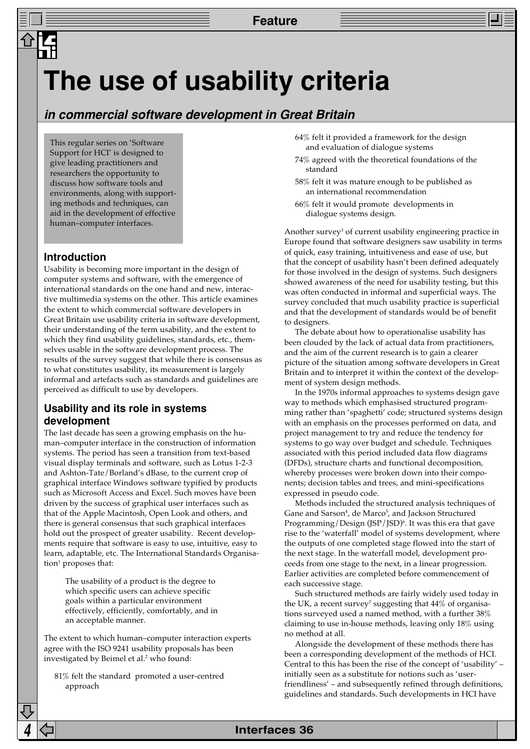## **The use of usability criteria**

## **in commercial software development in Great Britain**

This regular series on 'Software Support for HCI' is designed to give leading practitioners and researchers the opportunity to discuss how software tools and environments, along with supporting methods and techniques, can aid in the development of effective human–computer interfaces.

## **Introduction**

Usability is becoming more important in the design of computer systems and software, with the emergence of international standards on the one hand and new, interactive multimedia systems on the other. This article examines the extent to which commercial software developers in Great Britain use usability criteria in software development, their understanding of the term usability, and the extent to which they find usability guidelines, standards, etc., themselves usable in the software development process. The results of the survey suggest that while there is consensus as to what constitutes usability, its measurement is largely informal and artefacts such as standards and guidelines are perceived as difficult to use by developers.

## **Usability and its role in systems development**

The last decade has seen a growing emphasis on the human–computer interface in the construction of information systems. The period has seen a transition from text-based visual display terminals and software, such as Lotus 1-2-3 and Ashton-Tate/Borland's dBase, to the current crop of graphical interface Windows software typified by products such as Microsoft Access and Excel. Such moves have been driven by the success of graphical user interfaces such as that of the Apple Macintosh, Open Look and others, and there is general consensus that such graphical interfaces hold out the prospect of greater usability. Recent developments require that software is easy to use, intuitive, easy to learn, adaptable, etc. The International Standards Organisation<sup>1</sup> proposes that:

The usability of a product is the degree to which specific users can achieve specific goals within a particular environment effectively, efficiently, comfortably, and in an acceptable manner.

The extent to which human–computer interaction experts agree with the ISO 9241 usability proposals has been investigated by Beimel et al.<sup>2</sup> who found:

81% felt the standard promoted a user-centred approach

- 64% felt it provided a framework for the design and evaluation of dialogue systems
- 74% agreed with the theoretical foundations of the standard
- 58% felt it was mature enough to be published as an international recommendation
- 66% felt it would promote developments in dialogue systems design.

Another survey<sup>3</sup> of current usability engineering practice in Europe found that software designers saw usability in terms of quick, easy training, intuitiveness and ease of use, but that the concept of usability hasn't been defined adequately for those involved in the design of systems. Such designers showed awareness of the need for usability testing, but this was often conducted in informal and superficial ways. The survey concluded that much usability practice is superficial and that the development of standards would be of benefit to designers.

The debate about how to operationalise usability has been clouded by the lack of actual data from practitioners, and the aim of the current research is to gain a clearer picture of the situation among software developers in Great Britain and to interpret it within the context of the development of system design methods.

In the 1970s informal approaches to systems design gave way to methods which emphasised structured programming rather than 'spaghetti' code; structured systems design with an emphasis on the processes performed on data, and project management to try and reduce the tendency for systems to go way over budget and schedule. Techniques associated with this period included data flow diagrams (DFDs), structure charts and functional decomposition, whereby processes were broken down into their components; decision tables and trees, and mini-specifications expressed in pseudo code.

Methods included the structured analysis techniques of Gane and Sarson4 , de Marco5 , and Jackson Structured Programming/Design (JSP/JSD)6 . It was this era that gave rise to the 'waterfall' model of systems development, where the outputs of one completed stage flowed into the start of the next stage. In the waterfall model, development proceeds from one stage to the next, in a linear progression. Earlier activities are completed before commencement of each successive stage.

Such structured methods are fairly widely used today in the UK, a recent survey $^7$  suggesting that  $44\%$  of organisations surveyed used a named method, with a further 38% claiming to use in-house methods, leaving only 18% using no method at all.

Alongside the development of these methods there has been a corresponding development of the methods of HCI. Central to this has been the rise of the concept of 'usability' – initially seen as a substitute for notions such as 'userfriendliness' – and subsequently refined through definitions, guidelines and standards. Such developments in HCI have

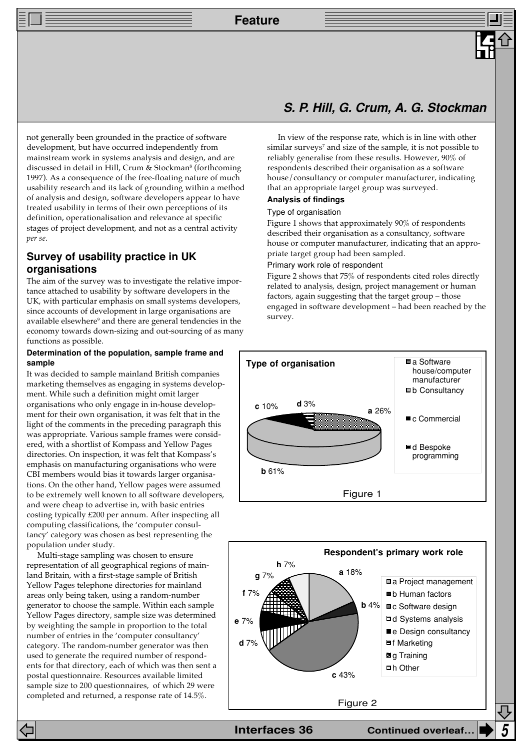**Feature**

not generally been grounded in the practice of software development, but have occurred independently from mainstream work in systems analysis and design, and are discussed in detail in Hill, Crum & Stockman<sup>s</sup> (forthcoming 1997). As a consequence of the free-floating nature of much usability research and its lack of grounding within a method of analysis and design, software developers appear to have treated usability in terms of their own perceptions of its definition, operationalisation and relevance at specific stages of project development, and not as a central activity *per se*.

## **Survey of usability practice in UK organisations**

The aim of the survey was to investigate the relative importance attached to usability by software developers in the UK, with particular emphasis on small systems developers, since accounts of development in large organisations are available elsewhere<sup>9</sup> and there are general tendencies in the economy towards down-sizing and out-sourcing of as many functions as possible.

### **Determination of the population, sample frame and sample**

It was decided to sample mainland British companies marketing themselves as engaging in systems development. While such a definition might omit larger organisations who only engage in in-house development for their own organisation, it was felt that in the light of the comments in the preceding paragraph this was appropriate. Various sample frames were considered, with a shortlist of Kompass and Yellow Pages directories. On inspection, it was felt that Kompass's emphasis on manufacturing organisations who were CBI members would bias it towards larger organisations. On the other hand, Yellow pages were assumed to be extremely well known to all software developers, and were cheap to advertise in, with basic entries costing typically £200 per annum. After inspecting all computing classifications, the 'computer consultancy' category was chosen as best representing the population under study.

Multi-stage sampling was chosen to ensure representation of all geographical regions of mainland Britain, with a first-stage sample of British Yellow Pages telephone directories for mainland areas only being taken, using a random-number generator to choose the sample. Within each sample Yellow Pages directory, sample size was determined by weighting the sample in proportion to the total number of entries in the 'computer consultancy' category. The random-number generator was then used to generate the required number of respondents for that directory, each of which was then sent a postal questionnaire. Resources available limited sample size to 200 questionnaires, of which 29 were completed and returned, a response rate of 14.5%.

## **S. P. Hill, G. Crum, A. G. Stockman**

In view of the response rate, which is in line with other similar surveys $^7$  and size of the sample, it is not possible to reliably generalise from these results. However, 90% of respondents described their organisation as a software house/consultancy or computer manufacturer, indicating that an appropriate target group was surveyed.

## **Analysis of findings**

## Type of organisation

Figure 1 shows that approximately 90% of respondents described their organisation as a consultancy, software house or computer manufacturer, indicating that an appropriate target group had been sampled.

## Primary work role of respondent

Figure 2 shows that 75% of respondents cited roles directly related to analysis, design, project management or human factors, again suggesting that the target group – those engaged in software development – had been reached by the survey.



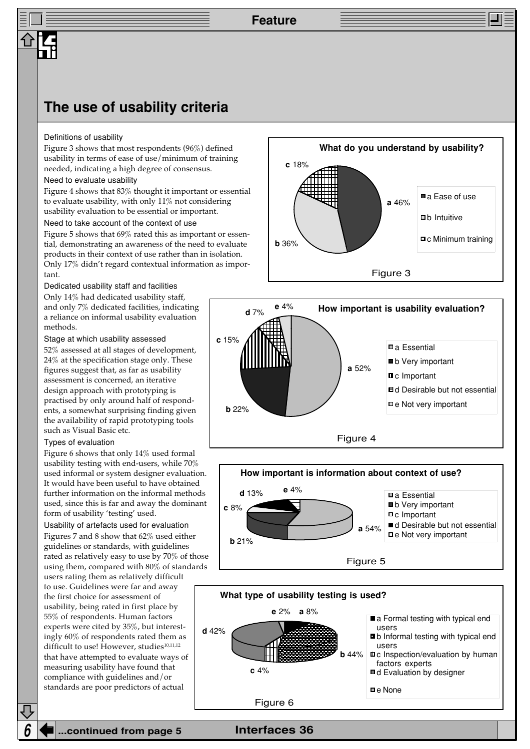## **The use of usability criteria**

#### Definitions of usability

Figure 3 shows that most respondents (96%) defined usability in terms of ease of use/minimum of training needed, indicating a high degree of consensus.

## Need to evaluate usability

Figure 4 shows that 83% thought it important or essential to evaluate usability, with only 11% not considering usability evaluation to be essential or important.

#### Need to take account of the context of use

Figure 5 shows that 69% rated this as important or essential, demonstrating an awareness of the need to evaluate products in their context of use rather than in isolation. Only 17% didn't regard contextual information as important.

### Dedicated usability staff and facilities

Only 14% had dedicated usability staff, and only 7% dedicated facilities, indicating a reliance on informal usability evaluation methods.

## Stage at which usability assessed

52% assessed at all stages of development, 24% at the specification stage only. These figures suggest that, as far as usability assessment is concerned, an iterative design approach with prototyping is practised by only around half of respondents, a somewhat surprising finding given the availability of rapid prototyping tools such as Visual Basic etc.

### Types of evaluation

Figure 6 shows that only 14% used formal usability testing with end-users, while 70% used informal or system designer evaluation. It would have been useful to have obtained further information on the informal methods used, since this is far and away the dominant form of usability 'testing' used.

Usability of artefacts used for evaluation Figures 7 and 8 show that 62% used either guidelines or standards, with guidelines rated as relatively easy to use by 70% of those using them, compared with 80% of standards

users rating them as relatively difficult to use. Guidelines were far and away the first choice for assessment of usability, being rated in first place by 55% of respondents. Human factors experts were cited by 35%, but interestingly 60% of respondents rated them as difficult to use! However, studies<sup>10,11,12</sup> that have attempted to evaluate ways of measuring usability have found that compliance with guidelines and/or standards are poor predictors of actual







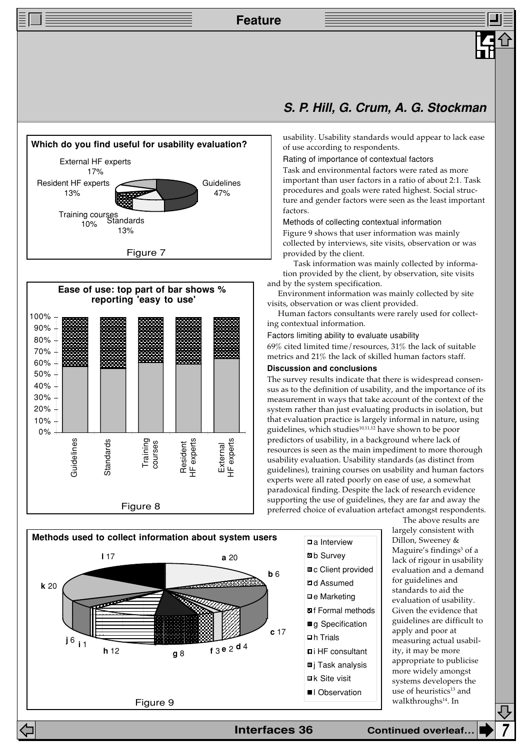**Feature**







## **S. P. Hill, G. Crum, A. G. Stockman**

usability. Usability standards would appear to lack ease of use according to respondents.

#### Rating of importance of contextual factors

Task and environmental factors were rated as more important than user factors in a ratio of about 2:1. Task procedures and goals were rated highest. Social structure and gender factors were seen as the least important factors.

Methods of collecting contextual information

Figure 9 shows that user information was mainly collected by interviews, site visits, observation or was provided by the client.

Task information was mainly collected by information provided by the client, by observation, site visits and by the system specification.

Environment information was mainly collected by site visits, observation or was client provided.

Human factors consultants were rarely used for collecting contextual information.

Factors limiting ability to evaluate usability

69% cited limited time/resources, 31% the lack of suitable metrics and 21% the lack of skilled human factors staff.

## **Discussion and conclusions**

The survey results indicate that there is widespread consensus as to the definition of usability, and the importance of its measurement in ways that take account of the context of the system rather than just evaluating products in isolation, but that evaluation practice is largely informal in nature, using guidelines, which studies<sup>10,11,12</sup> have shown to be poor predictors of usability, in a background where lack of resources is seen as the main impediment to more thorough usability evaluation. Usability standards (as distinct from guidelines), training courses on usability and human factors experts were all rated poorly on ease of use, a somewhat paradoxical finding. Despite the lack of research evidence supporting the use of guidelines, they are far and away the preferred choice of evaluation artefact amongst respondents.



The above results are largely consistent with Dillon, Sweeney & Maguire's findings<sup>3</sup> of a lack of rigour in usability evaluation and a demand for guidelines and standards to aid the evaluation of usability. Given the evidence that guidelines are difficult to apply and poor at measuring actual usability, it may be more appropriate to publicise more widely amongst systems developers the use of heuristics<sup>13</sup> and walkthroughs<sup>14</sup>. In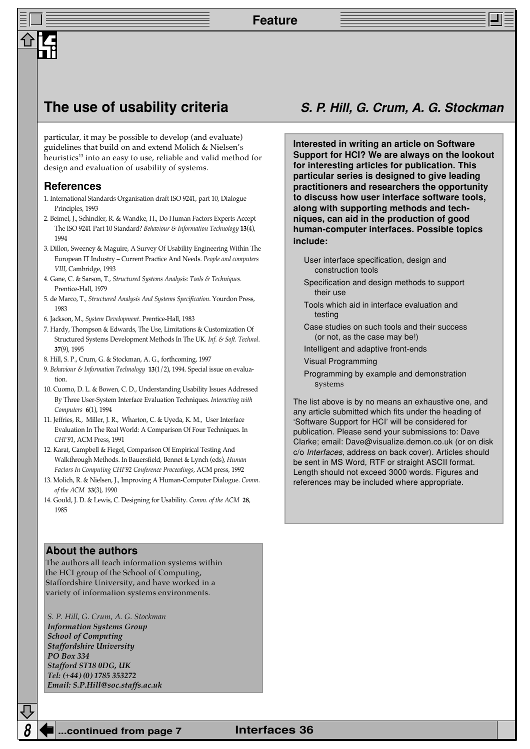particular, it may be possible to develop (and evaluate) guidelines that build on and extend Molich & Nielsen's heuristics<sup>13</sup> into an easy to use, reliable and valid method for design and evaluation of usability of systems.

### **References**

- 1. International Standards Organisation draft ISO 9241, part 10, Dialogue Principles, 1993
- 2. Beimel, J., Schindler, R. & Wandke, H., Do Human Factors Experts Accept The ISO 9241 Part 10 Standard? *Behaviour & Information Technology* **13**(4), 1994
- 3. Dillon, Sweeney & Maguire, A Survey Of Usability Engineering Within The European IT Industry – Current Practice And Needs. *People and computers VIII*, Cambridge, 1993
- 4. Gane, C. & Sarson, T., *Structured Systems Analysis: Tools & Techniques*. Prentice-Hall, 1979
- 5. de Marco, T.*, Structured Analysis And Systems Specification*. Yourdon Press, 1983
- 6. Jackson, M., *System Development*. Prentice-Hall, 1983
- 7. Hardy, Thompson & Edwards, The Use, Limitations & Customization Of Structured Systems Development Methods In The UK. *Inf. & Soft. Technol*. **37**(9), 1995
- 8. Hill, S. P., Crum, G. & Stockman, A. G., forthcoming, 1997
- 9. *Behaviour & Information Technology* **13**(1/2), 1994. Special issue on evaluation.
- 10. Cuomo, D. L. & Bowen, C. D., Understanding Usability Issues Addressed By Three User-System Interface Evaluation Techniques. *Interacting with Computers* **6**(1), 1994
- 11. Jeffries, R., Miller, J. R., Wharton, C. & Uyeda, K. M., User Interface Evaluation In The Real World: A Comparison Of Four Techniques. In *CHI'91*, ACM Press, 1991
- 12. Karat, Campbell & Fiegel, Comparison Of Empirical Testing And Walkthrough Methods. In Bauersfield, Bennet & Lynch (eds), *Human Factors In Computing CHI'92 Conference Proceedings*, ACM press, 1992
- 13. Molich, R. & Nielsen, J., Improving A Human-Computer Dialogue. *Comm. of the ACM* **33**(3), 1990
- 14. Gould, J. D. & Lewis, C. Designing for Usability. *Comm. of the ACM* **28**, 1985

## **About the authors**

The authors all teach information systems within the HCI group of the School of Computing, Staffordshire University, and have worked in a variety of information systems environments.

*S. P. Hill, G. Crum, A. G. Stockman Information Systems Group School of Computing Staffordshire University PO Box 334 Stafford ST18 0DG, UK Tel: (+44) (0) 1785 353272 Email: S.P.Hill@soc.staffs.ac.uk*

## **The use of usability criteria S. P. Hill, G. Crum, A. G. Stockman**

**Interested in writing an article on Software Support for HCI? We are always on the lookout for interesting articles for publication. This particular series is designed to give leading practitioners and researchers the opportunity to discuss how user interface software tools, along with supporting methods and techniques, can aid in the production of good human-computer interfaces. Possible topics include:**

- User interface specification, design and construction tools
- Specification and design methods to support their use
- Tools which aid in interface evaluation and testing
- Case studies on such tools and their success (or not, as the case may be!)
- Intelligent and adaptive front-ends
- Visual Programming
- Programming by example and demonstration systems

The list above is by no means an exhaustive one, and any article submitted which fits under the heading of 'Software Support for HCI' will be considered for publication. Please send your submissions to: Dave Clarke; email: Dave@visualize.demon.co.uk (or on disk c/o Interfaces, address on back cover). Articles should be sent in MS Word, RTF or straight ASCII format. Length should not exceed 3000 words. Figures and references may be included where appropriate.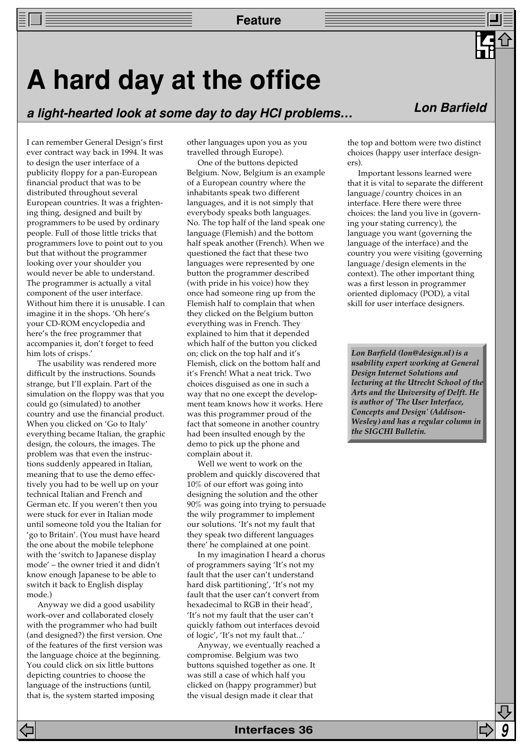## **A hard day at the office**

**a light-hearted look at some day to day HCI problems… Lon Barfield**

I can remember General Design's first ever contract way back in 1994. It was to design the user interface of a publicity floppy for a pan-European financial product that was to be distributed throughout several European countries. It was a frightening thing, designed and built by programmers to be used by ordinary people. Full of those little tricks that programmers love to point out to you but that without the programmer looking over your shoulder you would never be able to understand. The programmer is actually a vital component of the user interface. Without him there it is unusable. I can imagine it in the shops. 'Oh here's your CD-ROM encyclopedia and here's the free programmer that accompanies it, don't forget to feed him lots of crisps.'

The usability was rendered more difficult by the instructions. Sounds strange, but I'll explain. Part of the simulation on the floppy was that you could go (simulated) to another country and use the financial product. When you clicked on 'Go to Italy' everything became Italian, the graphic design, the colours, the images. The problem was that even the instructions suddenly appeared in Italian, meaning that to use the demo effectively you had to be well up on your technical Italian and French and German etc. If you weren't then you were stuck for ever in Italian mode until someone told you the Italian for 'go to Britain'. (You must have heard the one about the mobile telephone with the 'switch to Japanese display mode' – the owner tried it and didn't know enough Japanese to be able to switch it back to English display mode.)

Anyway we did a good usability work-over and collaborated closely with the programmer who had built (and designed?) the first version. One of the features of the first version was the language choice at the beginning. You could click on six little buttons depicting countries to choose the language of the instructions (until, that is, the system started imposing

other languages upon you as you travelled through Europe).

One of the buttons depicted Belgium. Now, Belgium is an example of a European country where the inhabitants speak two different languages, and it is not simply that everybody speaks both languages. No. The top half of the land speak one language (Flemish) and the bottom half speak another (French). When we questioned the fact that these two languages were represented by one button the programmer described (with pride in his voice) how they once had someone ring up from the Flemish half to complain that when they clicked on the Belgium button everything was in French. They explained to him that it depended which half of the button you clicked on; click on the top half and it's Flemish, click on the bottom half and it's French! What a neat trick. Two choices disguised as one in such a way that no one except the development team knows how it works. Here was this programmer proud of the fact that someone in another country had been insulted enough by the demo to pick up the phone and complain about it.

Well we went to work on the problem and quickly discovered that 10% of our effort was going into designing the solution and the other 90% was going into trying to persuade the wily programmer to implement our solutions. 'It's not my fault that they speak two different languages there' he complained at one point.

In my imagination I heard a chorus of programmers saying 'It's not my fault that the user can't understand hard disk partitioning', 'It's not my fault that the user can't convert from hexadecimal to RGB in their head', 'It's not my fault that the user can't quickly fathom out interfaces devoid of logic', 'It's not my fault that...'

Anyway, we eventually reached a compromise. Belgium was two buttons squished together as one. It was still a case of which half you clicked on (happy programmer) but the visual design made it clear that



the top and bottom were two distinct choices (happy user interface designers).

Important lessons learned were that it is vital to separate the different language/country choices in an interface. Here there were three choices: the land you live in (governing your stating currency), the language you want (governing the language of the interface) and the country you were visiting (governing language/design elements in the context). The other important thing was a first lesson in programmer oriented diplomacy (POD), a vital skill for user interface designers.

*Lon Barfield (lon@design.nl) is a usability expert working at General Design Internet Solutions and lecturing at the Utrecht School of the Arts and the University of Delft. He is author of 'The User Interface, Concepts and Design' (Addison-Wesley) and has a regular column in the SIGCHI Bulletin.*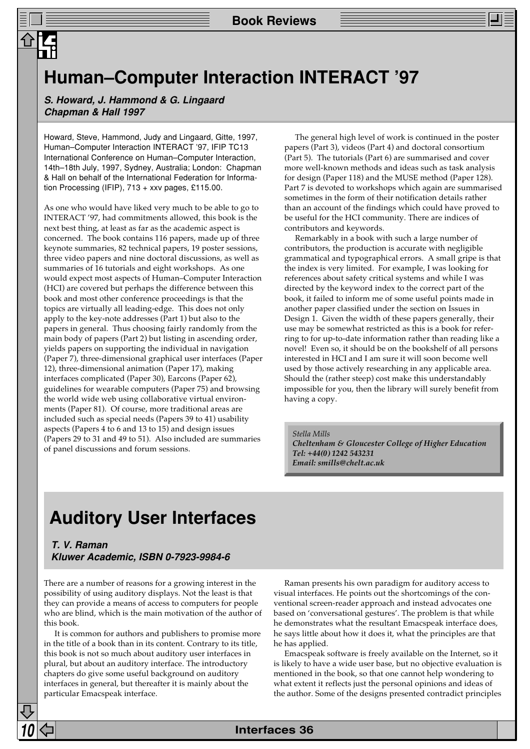## **Human–Computer Interaction INTERACT '97**

**S. Howard, J. Hammond & G. Lingaard Chapman & Hall 1997**

Howard, Steve, Hammond, Judy and Lingaard, Gitte, 1997, Human–Computer Interaction INTERACT '97, IFIP TC13 International Conference on Human–Computer Interaction, 14th–18th July, 1997, Sydney, Australia; London: Chapman & Hall on behalf of the International Federation for Information Processing (IFIP), 713 + xxv pages, £115.00.

As one who would have liked very much to be able to go to INTERACT '97, had commitments allowed, this book is the next best thing, at least as far as the academic aspect is concerned. The book contains 116 papers, made up of three keynote summaries, 82 technical papers, 19 poster sessions, three video papers and nine doctoral discussions, as well as summaries of 16 tutorials and eight workshops. As one would expect most aspects of Human–Computer Interaction (HCI) are covered but perhaps the difference between this book and most other conference proceedings is that the topics are virtually all leading-edge. This does not only apply to the key-note addresses (Part 1) but also to the papers in general. Thus choosing fairly randomly from the main body of papers (Part 2) but listing in ascending order, yields papers on supporting the individual in navigation (Paper 7), three-dimensional graphical user interfaces (Paper 12), three-dimensional animation (Paper 17), making interfaces complicated (Paper 30), Earcons (Paper 62), guidelines for wearable computers (Paper 75) and browsing the world wide web using collaborative virtual environments (Paper 81). Of course, more traditional areas are included such as special needs (Papers 39 to 41) usability aspects (Papers 4 to 6 and 13 to 15) and design issues (Papers 29 to 31 and 49 to 51). Also included are summaries of panel discussions and forum sessions.

The general high level of work is continued in the poster papers (Part 3), videos (Part 4) and doctoral consortium (Part 5). The tutorials (Part 6) are summarised and cover more well-known methods and ideas such as task analysis for design (Paper 118) and the MUSE method (Paper 128). Part 7 is devoted to workshops which again are summarised sometimes in the form of their notification details rather than an account of the findings which could have proved to be useful for the HCI community. There are indices of contributors and keywords.

Remarkably in a book with such a large number of contributors, the production is accurate with negligible grammatical and typographical errors. A small gripe is that the index is very limited. For example, I was looking for references about safety critical systems and while I was directed by the keyword index to the correct part of the book, it failed to inform me of some useful points made in another paper classified under the section on Issues in Design 1. Given the width of these papers generally, their use may be somewhat restricted as this is a book for referring to for up-to-date information rather than reading like a novel! Even so, it should be on the bookshelf of all persons interested in HCI and I am sure it will soon become well used by those actively researching in any applicable area. Should the (rather steep) cost make this understandably impossible for you, then the library will surely benefit from having a copy.

#### *Stella Mills*

*Cheltenham & Gloucester College of Higher Education Tel: +44(0) 1242 543231 Email: smills@chelt.ac.uk*

## **Auditory User Interfaces**

## **T. V. Raman Kluwer Academic, ISBN 0-7923-9984-6**

There are a number of reasons for a growing interest in the possibility of using auditory displays. Not the least is that they can provide a means of access to computers for people who are blind, which is the main motivation of the author of this book.

It is common for authors and publishers to promise more in the title of a book than in its content. Contrary to its title, this book is not so much about auditory user interfaces in plural, but about an auditory interface. The introductory chapters do give some useful background on auditory interfaces in general, but thereafter it is mainly about the particular Emacspeak interface.

Raman presents his own paradigm for auditory access to visual interfaces. He points out the shortcomings of the conventional screen-reader approach and instead advocates one based on 'conversational gestures'. The problem is that while he demonstrates what the resultant Emacspeak interface does, he says little about how it does it, what the principles are that he has applied.

Emacspeak software is freely available on the Internet, so it is likely to have a wide user base, but no objective evaluation is mentioned in the book, so that one cannot help wondering to what extent it reflects just the personal opinions and ideas of the author. Some of the designs presented contradict principles

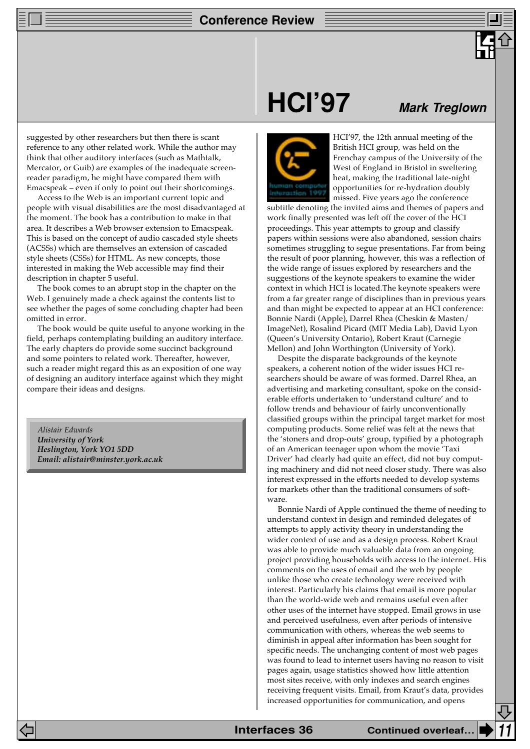## **Conference Review**

suggested by other researchers but then there is scant reference to any other related work. While the author may think that other auditory interfaces (such as Mathtalk, Mercator, or Guib) are examples of the inadequate screenreader paradigm, he might have compared them with Emacspeak – even if only to point out their shortcomings.

Access to the Web is an important current topic and people with visual disabilities are the most disadvantaged at the moment. The book has a contribution to make in that area. It describes a Web browser extension to Emacspeak. This is based on the concept of audio cascaded style sheets (ACSSs) which are themselves an extension of cascaded style sheets (CSSs) for HTML. As new concepts, those interested in making the Web accessible may find their description in chapter 5 useful.

The book comes to an abrupt stop in the chapter on the Web. I genuinely made a check against the contents list to see whether the pages of some concluding chapter had been omitted in error.

The book would be quite useful to anyone working in the field, perhaps contemplating building an auditory interface. The early chapters do provide some succinct background and some pointers to related work. Thereafter, however, such a reader might regard this as an exposition of one way of designing an auditory interface against which they might compare their ideas and designs.

*Alistair Edwards University of York Heslington, York YO1 5DD Email: alistair@minster.york.ac.uk*

## **HCI'97**



HCI'97, the 12th annual meeting of the British HCI group, was held on the Frenchay campus of the University of the West of England in Bristol in sweltering

**Mark Treglown**

heat, making the traditional late-night opportunities for re-hydration doubly missed. Five years ago the conference subtitle denoting the invited aims and themes of papers and

work finally presented was left off the cover of the HCI proceedings. This year attempts to group and classify papers within sessions were also abandoned, session chairs sometimes struggling to segue presentations. Far from being the result of poor planning, however, this was a reflection of the wide range of issues explored by researchers and the suggestions of the keynote speakers to examine the wider context in which HCI is located.The keynote speakers were from a far greater range of disciplines than in previous years and than might be expected to appear at an HCI conference: Bonnie Nardi (Apple), Darrel Rhea (Cheskin & Masten/ ImageNet), Rosalind Picard (MIT Media Lab), David Lyon (Queen's University Ontario), Robert Kraut (Carnegie Mellon) and John Worthington (University of York).

Despite the disparate backgrounds of the keynote speakers, a coherent notion of the wider issues HCI researchers should be aware of was formed. Darrel Rhea, an advertising and marketing consultant, spoke on the considerable efforts undertaken to 'understand culture' and to follow trends and behaviour of fairly unconventionally classified groups within the principal target market for most computing products. Some relief was felt at the news that the 'stoners and drop-outs' group, typified by a photograph of an American teenager upon whom the movie 'Taxi Driver' had clearly had quite an effect, did not buy computing machinery and did not need closer study. There was also interest expressed in the efforts needed to develop systems for markets other than the traditional consumers of software.

Bonnie Nardi of Apple continued the theme of needing to understand context in design and reminded delegates of attempts to apply activity theory in understanding the wider context of use and as a design process. Robert Kraut was able to provide much valuable data from an ongoing project providing households with access to the internet. His comments on the uses of email and the web by people unlike those who create technology were received with interest. Particularly his claims that email is more popular than the world-wide web and remains useful even after other uses of the internet have stopped. Email grows in use and perceived usefulness, even after periods of intensive communication with others, whereas the web seems to diminish in appeal after information has been sought for specific needs. The unchanging content of most web pages was found to lead to internet users having no reason to visit pages again, usage statistics showed how little attention most sites receive, with only indexes and search engines receiving frequent visits. Email, from Kraut's data, provides increased opportunities for communication, and opens

**Interfaces 36 Continued overleaf.**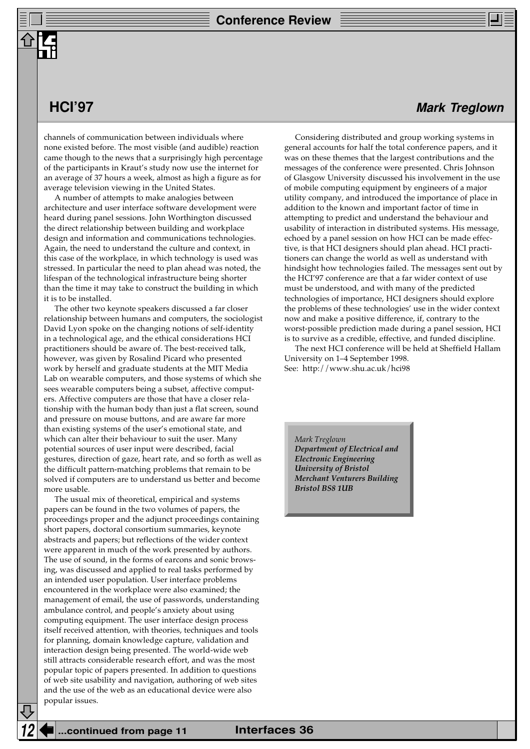channels of communication between individuals where none existed before. The most visible (and audible) reaction came though to the news that a surprisingly high percentage of the participants in Kraut's study now use the internet for an average of 37 hours a week, almost as high a figure as for average television viewing in the United States.

A number of attempts to make analogies between architecture and user interface software development were heard during panel sessions. John Worthington discussed the direct relationship between building and workplace design and information and communications technologies. Again, the need to understand the culture and context, in this case of the workplace, in which technology is used was stressed. In particular the need to plan ahead was noted, the lifespan of the technological infrastructure being shorter than the time it may take to construct the building in which it is to be installed.

The other two keynote speakers discussed a far closer relationship between humans and computers, the sociologist David Lyon spoke on the changing notions of self-identity in a technological age, and the ethical considerations HCI practitioners should be aware of. The best-received talk, however, was given by Rosalind Picard who presented work by herself and graduate students at the MIT Media Lab on wearable computers, and those systems of which she sees wearable computers being a subset, affective computers. Affective computers are those that have a closer relationship with the human body than just a flat screen, sound and pressure on mouse buttons, and are aware far more than existing systems of the user's emotional state, and which can alter their behaviour to suit the user. Many potential sources of user input were described, facial gestures, direction of gaze, heart rate, and so forth as well as the difficult pattern-matching problems that remain to be solved if computers are to understand us better and become more usable.

The usual mix of theoretical, empirical and systems papers can be found in the two volumes of papers, the proceedings proper and the adjunct proceedings containing short papers, doctoral consortium summaries, keynote abstracts and papers; but reflections of the wider context were apparent in much of the work presented by authors. The use of sound, in the forms of earcons and sonic browsing, was discussed and applied to real tasks performed by an intended user population. User interface problems encountered in the workplace were also examined; the management of email, the use of passwords, understanding ambulance control, and people's anxiety about using computing equipment. The user interface design process itself received attention, with theories, techniques and tools for planning, domain knowledge capture, validation and interaction design being presented. The world-wide web still attracts considerable research effort, and was the most popular topic of papers presented. In addition to questions of web site usability and navigation, authoring of web sites and the use of the web as an educational device were also popular issues.

**HCI'97 Mark Treglown**

Considering distributed and group working systems in general accounts for half the total conference papers, and it was on these themes that the largest contributions and the messages of the conference were presented. Chris Johnson of Glasgow University discussed his involvement in the use of mobile computing equipment by engineers of a major utility company, and introduced the importance of place in addition to the known and important factor of time in attempting to predict and understand the behaviour and usability of interaction in distributed systems. His message, echoed by a panel session on how HCI can be made effective, is that HCI designers should plan ahead. HCI practitioners can change the world as well as understand with hindsight how technologies failed. The messages sent out by the HCI'97 conference are that a far wider context of use must be understood, and with many of the predicted technologies of importance, HCI designers should explore the problems of these technologies' use in the wider context now and make a positive difference, if, contrary to the worst-possible prediction made during a panel session, HCI is to survive as a credible, effective, and funded discipline.

The next HCI conference will be held at Sheffield Hallam University on 1–4 September 1998. See: http://www.shu.ac.uk/hci98

*Mark Treglown Department of Electrical and Electronic Engineering University of Bristol Merchant Venturers Building Bristol BS8 1UB*

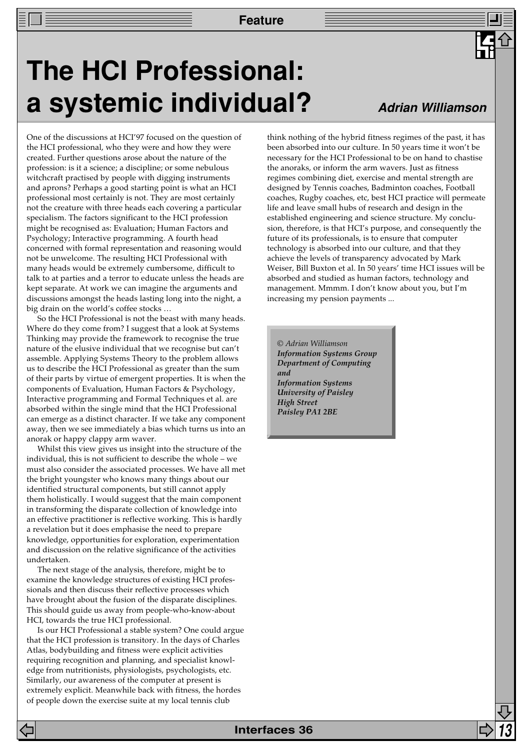## **The HCI Professional: a systemic individual?**

## **Adrian Williamson**

One of the discussions at HCI'97 focused on the question of the HCI professional, who they were and how they were created. Further questions arose about the nature of the profession: is it a science; a discipline; or some nebulous witchcraft practised by people with digging instruments and aprons? Perhaps a good starting point is what an HCI professional most certainly is not. They are most certainly not the creature with three heads each covering a particular specialism. The factors significant to the HCI profession might be recognised as: Evaluation; Human Factors and Psychology; Interactive programming. A fourth head concerned with formal representation and reasoning would not be unwelcome. The resulting HCI Professional with many heads would be extremely cumbersome, difficult to talk to at parties and a terror to educate unless the heads are kept separate. At work we can imagine the arguments and discussions amongst the heads lasting long into the night, a big drain on the world's coffee stocks …

So the HCI Professional is not the beast with many heads. Where do they come from? I suggest that a look at Systems Thinking may provide the framework to recognise the true nature of the elusive individual that we recognise but can't assemble. Applying Systems Theory to the problem allows us to describe the HCI Professional as greater than the sum of their parts by virtue of emergent properties. It is when the components of Evaluation, Human Factors & Psychology, Interactive programming and Formal Techniques et al. are absorbed within the single mind that the HCI Professional can emerge as a distinct character. If we take any component away, then we see immediately a bias which turns us into an anorak or happy clappy arm waver.

Whilst this view gives us insight into the structure of the individual, this is not sufficient to describe the whole – we must also consider the associated processes. We have all met the bright youngster who knows many things about our identified structural components, but still cannot apply them holistically. I would suggest that the main component in transforming the disparate collection of knowledge into an effective practitioner is reflective working. This is hardly a revelation but it does emphasise the need to prepare knowledge, opportunities for exploration, experimentation and discussion on the relative significance of the activities undertaken.

The next stage of the analysis, therefore, might be to examine the knowledge structures of existing HCI professionals and then discuss their reflective processes which have brought about the fusion of the disparate disciplines. This should guide us away from people-who-know-about HCI, towards the true HCI professional.

Is our HCI Professional a stable system? One could argue that the HCI profession is transitory. In the days of Charles Atlas, bodybuilding and fitness were explicit activities requiring recognition and planning, and specialist knowledge from nutritionists, physiologists, psychologists, etc. Similarly, our awareness of the computer at present is extremely explicit. Meanwhile back with fitness, the hordes of people down the exercise suite at my local tennis club

think nothing of the hybrid fitness regimes of the past, it has been absorbed into our culture. In 50 years time it won't be necessary for the HCI Professional to be on hand to chastise the anoraks, or inform the arm wavers. Just as fitness regimes combining diet, exercise and mental strength are designed by Tennis coaches, Badminton coaches, Football coaches, Rugby coaches, etc, best HCI practice will permeate life and leave small hubs of research and design in the established engineering and science structure. My conclusion, therefore, is that HCI's purpose, and consequently the future of its professionals, is to ensure that computer technology is absorbed into our culture, and that they achieve the levels of transparency advocated by Mark Weiser, Bill Buxton et al. In 50 years' time HCI issues will be absorbed and studied as human factors, technology and management. Mmmm. I don't know about you, but I'm increasing my pension payments ...

*© Adrian Williamson Information Systems Group Department of Computing and Information Systems University of Paisley High Street Paisley PA1 2BE*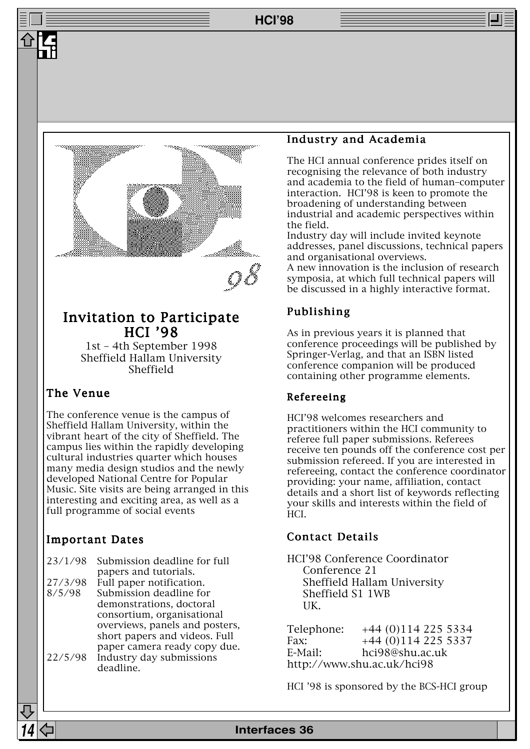**HCI'98**



## Invitation to Participate HCI '98

1st – 4th September 1998 Sheffield Hallam University Sheffield

## The Venue

The conference venue is the campus of Sheffield Hallam University, within the vibrant heart of the city of Sheffield. The campus lies within the rapidly developing cultural industries quarter which houses many media design studios and the newly developed National Centre for Popular Music. Site visits are being arranged in this interesting and exciting area, as well as a full programme of social events

## Important Dates

|         | 23/1/98 Submission deadline for full |
|---------|--------------------------------------|
|         | papers and tutorials.                |
| 27/3/98 | Full paper notification.             |
| 8/5/98  | Submission deadline for              |
|         | demonstrations, doctoral             |
|         | consortium, organisational           |
|         | overviews, panels and posters,       |
|         |                                      |

short papers and videos. Full paper camera ready copy due. 22/5/98 Industry day submissions deadline.

## Industry and Academia

The HCI annual conference prides itself on recognising the relevance of both industry and academia to the field of human–computer interaction. HCI'98 is keen to promote the broadening of understanding between industrial and academic perspectives within the field.

Industry day will include invited keynote addresses, panel discussions, technical papers and organisational overviews.

A new innovation is the inclusion of research symposia, at which full technical papers will be discussed in a highly interactive format.

## Publishing

As in previous years it is planned that conference proceedings will be published by Springer-Verlag, and that an ISBN listed conference companion will be produced containing other programme elements.

## Refereeing

HCI'98 welcomes researchers and practitioners within the HCI community to referee full paper submissions. Referees receive ten pounds off the conference cost per submission refereed. If you are interested in refereeing, contact the conference coordinator providing: your name, affiliation, contact details and a short list of keywords reflecting your skills and interests within the field of HCI.

## Contact Details

HCI'98 Conference Coordinator Conference 21 Sheffield Hallam University Sheffield S1 1WB UK.

Telephone: +44 (0)114 225 5334 Fax:  $+44(0)1142255337$ E-Mail: hci98@shu.ac.uk http://www.shu.ac.uk/hci98

HCI '98 is sponsored by the BCS-HCI group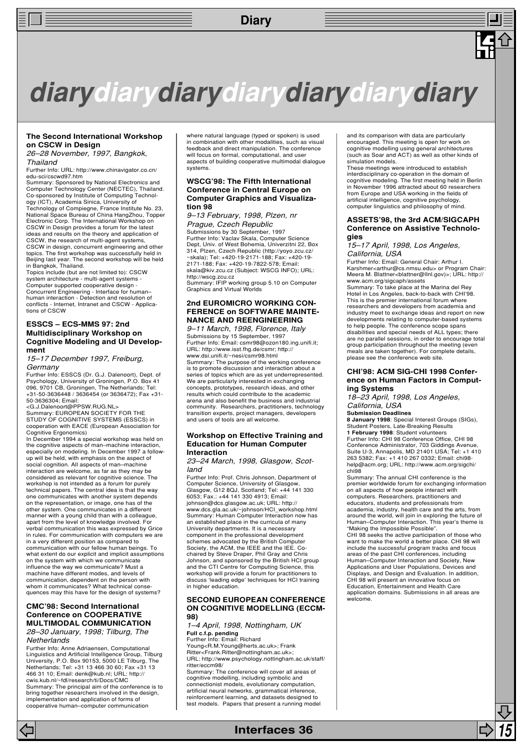## **Diary**

## **diarydiarydiarydiarydiarydiarydiary**

#### **The Second International Workshop on CSCW in Design**

26–28 November, 1997, Bangkok, Thailand

Further Info: URL: http://www.chinavigator.co.cn/ edu-sci/cscwd97.htm

Summary: Sponsored by National Electronics and Computer Technology Center (NECTEC), Thailand.<br>Co-sponsored by Institute of Computing Technol-<br>ogy (ICT), Academia Sinica, University of<br>Technology of Compiegne, France Institute No. 23,<br>National Space Bureau of China Hang Electronic Corp. The International Workshop on CSCW in Design provides a forum for the latest ideas and results on the theory and application of CSCW, the research of multi-agent systems, CSCW in design, concurrent engineering and other topics. The first workshop was successfully held in Beijing last year. The second workshop will be held

in Bangkok, Thailand. Topics include (but are not limited to): CSCW system architecture - multi-agent systems -Computer supported cooperative design - Concurrent Engineering - Interface for human– human interaction - Detection and resolution of conflicts - Internet, Intranet and CSCW - Applications of CSCW

#### **ESSCS – ECS-MMS 97: 2nd Multidisciplinary Workshop on Cognitive Modeling and UI Development**

15–17 December 1997, Freiburg, **Germany** 

Further Info: ESSCS (Dr. G.J. Dalenoort), Dept. of Psychology, University of Groningen, P.O. Box 41 096, 9701 CB, Groningen, The Netherlands; Tel: +31-50-3636448 / 3636454 (or 3636472); Fax +31- 50-3636304; Email:

<G.J.Dalenoort@PPSW.RUG.NL> Summary: EUROPEAN SOCIETY FOR THE STUDY OF COGNITIVE SYSTEMS (ESSCS) in cooperation with EACE (European Association for Cognitive Ergonomics) In December 1994 a special workshop was held on

the cognitive aspects of man–machine interaction, especially on modeling. In December 1997 a followup will be held, with emphasis on the aspect of social cognition. All aspects of man–machine interaction are welcome, as far as they may be considered as relevant for cognitive science. The workshop is not intended as a forum for purely technical papers. The central idea is that the way one communicates with another system depends on the representation, or image, one has of the other system. One communicates in a different manner with a young child than with a colleague, apart from the level of knowledge involved. For verbal communication this was expressed by Grice in rules. For communication with computers we are in a very different position as compared to communication with our fellow human beings. To what extent do our explicit and implicit assumptions on the system with which we communicate influence the way we communicate? Must a machine have different modes, and levels of communication, dependent on the person with whom it communicates? What technical consequences may this have for the design of systems?

#### **CMC'98: Second International Conference on COOPERATIVE MULTIMODAL COMMUNICATION** 28–30 January, 1998; Tilburg, The **Netherlands**

Further Info: Anne Adriaensen, Computational Linguistics and Artificial Intelligence Group, Tilburg University, P.O. Box 90153, 5000 LE Tilburg, The Netherlands; Tel: +31 13 466 30 60; Fax +31 13 466 31 10; Email: denk@kub.nl; URL: http:// cwis.kub.nl/~fdl/research/ti/Docs/CMC Summary: The principal aim of the conference is to bring together researchers involved in the design, implementation and application of forms of cooperative human–computer communication

where natural language (typed or spoken) is used in combination with other modalities, such as visual feedback and direct manipulation. The conference will focus on formal, computational, and user aspects of building cooperative multimodal dialogue systems.

#### **WSCG'98: The Fifth International Conference in Central Europe on Computer Graphics and Visualization 98**

#### 9–13 February, 1998, Plzen, nr Prague, Czech Republic

Submissions by 30 September, 1997 Further Info: Vaclav Skala, Computer Science Dept, Univ. of West Bohemia, Univerzitni 22, Box 314, Plzen, Czech Republic (http://yoyo.zcu.cz/ ~skala); Tel: +420-19-2171-188; Fax: +420-19- 2171-188; Fax: +420-19-7822-578; Email: skala@kiv.zcu.cz (Subject: WSCG INFO); URL: http://wscg.zcu.cz Summary: IFIP working group 5.10 on Computer

Graphics and Virtual Worlds

#### **2nd EUROMICRO WORKING CON-FERENCE on SOFTWARE MAINTE-NANCE AND REENGINEERING**

9–11 March, 1998, Florence, Italy Submissions by 15 September, 1997 Further Info: Email: csmr98@ozon180.ing.unifi.it; URL: http://www.isst.fhg.de/csmr; http:// www.dsi.unifi.it/~nesi/csmr98.html

Summary: The purpose of the working conference is to promote discussion and interaction about a series of topics which are as yet underrepresented. We are particularly interested in exchanging concepts, prototypes, research ideas, and other results which could contribute to the academic arena and also benefit the business and industrial community. Researchers, practitioners, technology transition experts, project managers, developers and users of tools are all welcome.

#### **Workshop on Effective Training and Education for Human Computer Interaction**

23–24 March, 1998, Glasgow, Scotland

Further Info: Prof. Chris Johnson, Department of Computer Science, University of Glasgow, Glasgow, G12 8QJ, Scotland; Tel: +44 141 330 6053; Fax.: +44 141 330 4913; Email: johnson@dcs.glasgow.ac.uk; URL: http:// www.dcs.gla.ac.uk/~johnson/HCI\_workshop.html Summary: Human Computer Interaction now has an established place in the curricula of many University departments. It is a necessary component in the professional development schemes advocated by the British Computer Society, the ACM, the IEEE and the IEE. Cochaired by Steve Draper, Phil Gray and Chris Johnson, and sponsored by the British HCI group and the CTI Centre for Computing Science, this workshop will provide a forum for practitioners to discuss 'leading edge' techniques for HCI training in higher education.

#### **SECOND EUROPEAN CONFERENCE ON COGNITIVE MODELLING (ECCM-98)**

1–4 April, 1998, Nottingham, UK

**Full c.f.p. pending** Further Info: Email: Richard Young<R.M.Young@herts.ac.uk>; Frank Ritter<Frank.Ritter@nottingham.ac.uk>; URL: http://www.psychology.nottingham.ac.uk/staff/ ritter/eccm98/

Summary: The conference will cover all areas of cognitive modelling, including symbolic and connectionist models, evolutionary computation, artificial neural networks, grammatical inference, reinforcement learning, and datasets designed to test models. Papers that present a running model

and its comparison with data are particularly encouraged. This meeting is open for work on cognitive modelling using general architectures (such as Soar and ACT) as well as other kinds of simulation models.

These meetings were introduced to establish interdisciplinary co-operation in the domain of cognitive modeling. The first meeting held in Berlin in November 1996 attracted about 60 researchers from Europe and USA working in the fields of artificial intelligence, cognitive psychology, computer linguistics and philosophy of mind.

#### **ASSETS'98, the 3rd ACM/SIGCAPH Conference on Assistive Technologies**

15–17 April, 1998, Los Angeles, California, USA

Further Info: Email: General Chair: Arthur I. Karshmer<arthur@cs.nmsu.edu> or Program Chair: Meera M. Blattner<blattner@llnl.gov)>; URL: http://

www.acm.org/sigcaph/assets Summary: To take place at the Marina del Rey Hotel in Los Angeles, back-to-back with CHI'98. This is the premier international forum where researchers and developers from academia and industry meet to exchange ideas and report on new developments relating to computer-based systems to help people. The conference scope spans disabilities and special needs of ALL types; there are no parallel sessions, in order to encourage total group participation throughout the meeting (even meals are taken together). For complete details, please see the conference web site.

#### **CHI'98: ACM SIG-CHI 1998 Conference on Human Factors in Computing Systems**

18–23 April, 1998, Los Angeles, California, USA

**Submission Deadlines**

**8 January 1998**: Special Interest Groups (SIGs), Student Posters, Late-Breaking Results

**1 February 1998**: Student volunteers Further Info: CHI 98 Conference Office, CHI 98 Conference Administrator, 703 Giddings Avenue, Suite U-3, Annapolis, MD 21401 USA; Tel: +1 410 263 5382; Fax: +1 410 267 0332; Email: chi98 help@acm.org; URL: http://www.acm.org/sigchi/ chi98

Summary: The annual CHI conference is the premier worldwide forum for exchanging information on all aspects of how people interact with computers. Researchers, practitioners and educators, students and professionals from academia, industry, health care and the arts, from around the world, will join in exploring the future of Human–Computer Interaction. This year's theme is "Making the Impossible Possible". CHI 98 seeks the active participation of those who want to make the world a better place. CHI 98 will include the successful program tracks and focus areas of the past CHI conferences, including Human–Computer Interaction and Society, New Applications and User Populations, Devices and Displays, and Design and Evaluation. In addition, CHI 98 will present an innovative focus on Education, Entertainment and Health Care

application domains. Submissions in all areas are welcome.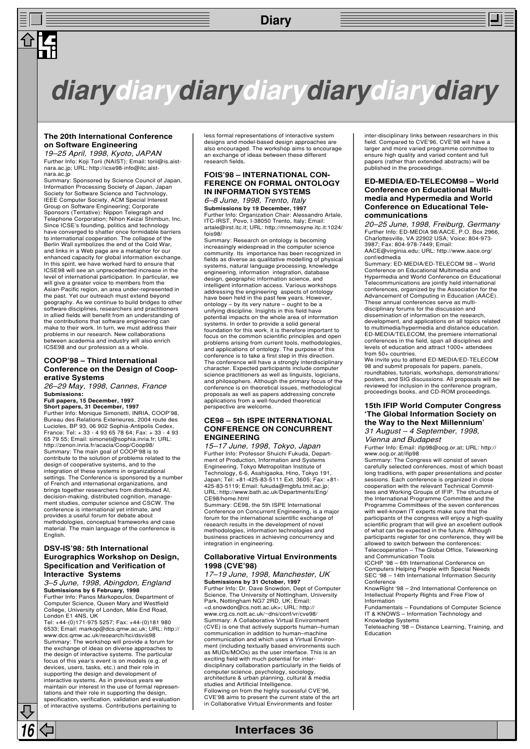## **Diary**



## **diarydiarydiarydiarydiarydiarydiary**

#### **The 20th International Conference on Software Engineering**

19–25 April, 1998, Kyoto, JAPAN Further Info: Koji Torii (NAIST); Email: torii@is.aistnara.ac.jp; URL: http://icse98-info@itc.aistnara.ac.jp

Summary: Sponsored by Science Council of Japan, Information Processing Society of Japan, Japan Society for Software Science and Technology IEEE Computer Society, ACM Special Interest Group on Software Engineering; Corporate Sponsors (Tentative): Nippon Telegraph and Telephone Corporation; Nihon Keizai Shimbun, Inc. Since ICSE's founding, politics and technology have converged to shatter once formidable barriers to international cooperation. The collapse of the Berlin Wall symbolizes the end of the Cold War, and links in a Web page are a metaphor for our enhanced capacity for global information exchange. In this spirit, we have worked hard to ensure that ICSE98 will see an unprecedented increase in the level of international participation. In particular, we will give a greater voice to members from the Asian-Pacific region, an area under-represented in the past. Yet our outreach must extend beyond geography. As we continue to build bridges to other software disciplines, researchers and practitioners in allied fields will benefit from an understanding of the contributions that software engineering can make to their work. In turn, we must address their problems in our research. New collaborations between academia and industry will also enrich ICSE98 and our profession as a whole.

#### **COOP'98 – Third International Conference on the Design of Cooperative Systems**

26–29 May, 1998, Cannes, France **Submissions: Full papers, 15 December, 1997**

### **Short papers, 31 December, 1997**

Further Info: Monique Simonetti, INRIA, COOP'98, Bureau des Relations Exterieures, 2004 route des Lucioles, BP 93, 06 902 Sophia-Antipolis Cedex, France; Tel: + 33 - 4 93 65 78 64; Fax: + 33 - 4 93 65 79 55; Email: simoneti@sophia.inria.fr; URL: http://zenon.inria.fr/acacia/Coop/Coop98/ Summary: The main goal of COOP'98 is to contribute to the solution of problems related to the design of cooperative systems, and to the integration of these systems in organizational settings. The Conference is sponsored by a number of French and international organizations, and brings together researchers from distributed AI, decision-making, distributed cognition, management studies, computer science and CSCW. The conference is international yet intimate, and provides a useful forum for debate about methodologies, conceptual frameworks and case material. The main language of the conference is English.

#### **DSV-IS'98: 5th International Eurographics Workshop on Design, Specification and Verification of Interactive Systems**

3–5 June, 1998, Abingdon, England **Submissions by 6 February, 1998** Further Info: Panos Markopoulos, Department of Computer Science, Queen Mary and Westfield College, University of London, Mile End Road,

London E1 4NS, UK Tel: +44-(0)171-975 5257; Fax: +44-(0)181 980 6533; Email: markop@dcs.qmw.ac.uk; URL: http:// www.dcs.qmw.ac.uk/research/hci/dsvis98 Summary: The workshop will provide a forum for the exchange of ideas on diverse approaches to the design of interactive systems. The particular focus of this year's event is on models (e.g. of devices, users, tasks, etc.) and their role in supporting the design and development of interactive systems. As in previous years we maintain our interest in the use of formal representations and their role in supporting the design, specification, verification, validation and evaluation of interactive systems. Contributions pertaining to

**16 Interfaces 36**

less formal representations of interactive system designs and model-based design approaches are also encouraged. The workshop aims to encourage an exchange of ideas between these different research fields.

#### **FOIS'98 – INTERNATIONAL CON-FERENCE ON FORMAL ONTOLOGY IN INFORMATION SYSTEMS**

6–8 June, 1998, Trento, Italy **Submissions by 19 December, 1997** Further Info: Organization Chair: Alessandro Artale, ITC-IRST, Povo, I-38050 Trento, Italy; Email: artale@irst.itc.it; URL: http://mnemosyne.itc.it:1024/ fois98/

Summary: Research on ontology is becoming increasingly widespread in the computer science community. Its importance has been recognized in fields as diverse as qualitative modelling of physical systems, natural language processing, knowledge engineering, information integration, database design, geographic information science, and intelligent information access. Various workshops addressing the engineering aspects of ontology have been held in the past few years. However, ontology – by its very nature – ought to be a unifying discipline. Insights in this field have potential impacts on the whole area of information systems. In order to provide a solid general foundation for this work, it is therefore important to focus on the common scientific principles and open problems arising from current tools, methodologies, and applications of ontology. The purpose of this conference is to take a first step in this direction. The conference will have a strongly interdisciplinary character. Expected participants include computer science practitioners as well as linguists, logicians, and philosophers. Although the primary focus of the conference is on theoretical issues, methodological proposals as well as papers addressing concrete applications from a well-founded theoretical perspective are welcome.

#### **CE98 – 5th ISPE INTERNATIONAL CONFERENCE ON CONCURRENT ENGINEERING**

15–17 June, 1998, Tokyo, Japan Further Info: Professor Shuichi Fukuda, Department of Production, Information and Systems Engineering, Tokyo Metropolitan Institute of Technology, 6-6, Asahigaoka, Hino, Tokyo 191, Japan; Tel: +81-425-83-5111 Ext. 3605; Fax: +81- 425-83-5119; Email: fukuda@mgbfu.tmit.ac.jp; URL: http://www.bath.ac.uk/Departments/Eng/ CE98/home.html

Summary: CE98, the 5th ISPE International Conference on Concurrent Engineering, is a major forum for the international scientific exchange of research results in the development of novel methodologies, information technologies and business practices in achieving concurrency and integration in engineering.

#### **Collaborative Virtual Environments 1998 (CVE'98)**

17–19 June, 1998, Manchester, UK **Submissions by 31 October, 1997** Further Info: Dr. Dave Snowdon, Dept of Computer Science, The University of Nottingham, University Park, Nottingham NG7 2RD, UK; Email: <d.snowdon@cs.nott.ac.uk>; URL: http:// www.crg.cs.nott.ac.uk/~dns/conf/vr/cve98/ Summary: A Collaborative Virtual Environment (CVE) is one that actively supports human–human communication in addition to human–machine communication and which uses a Virtual Environment (including textually based environments such as MUDs/MOOs) as the user interface. This is an exciting field with much potential for interdisciplinary collaboration particularly in the fields of computer science, psychology, sociology, architecture & urban planning, cultural & media studies and Artificial Intelligence. Following on from the highly sucessful CVE'96, CVE'98 aims to present the current state of the art in Collaborative Virtual Environments and foster

inter-disciplinary links between researchers in this field. Compared to CVE'96, CVE'98 will have a larger and more varied programme committee to ensure high quality and varied content and full papers (rather than extended abstracts) will be published in the proceedings.

≣ן⊑

#### **ED-MEDIA/ED-TELECOM98 – World Conference on Educational Multimedia and Hypermedia and World Conference on Educational Telecommunications**

20–25 June, 1998, Freiburg, Germany Further Info: ED-MEDIA 98/AACE, P.O. Box 2966, Charlottesville, VA 22902 USA; Voice: 804-973- 3987; Fax: 804-978-7449; Email: AACE@virginia.edu; URL: http://www.aace.org/

conf/edmedia Summary: ED-MEDIA/ED-TELECOM 98 – World Conference on Educational Multimedia and Hypermedia and World Conference on Educational Telecommunications are jointly held international conferences, organized by the Association for the Advancement of Computing in Education (AACE). These annual conferences serve as multidisciplinary forums for the discussion and dissemination of information on the research, development, and applications on all topics related to multimedia/hypermedia and distance education. ED-MEDIA/TELECOM, the premiere international conferences in the field, span all disciplines and levels of education and attract 1000+ attendees from 50+ countries.

We invite you to attend ED-MEDIA/ED-TELECOM 98 and submit proposals for papers, panels, roundtables, tutorials, workshops, demonstrations/ posters, and SIG discussions. All proposals will be reviewed for inclusion in the conference program, proceedings books, and CD-ROM proceedings.

#### **15th IFIP World Computer Congress 'The Global Information Society on the Way to the Next Millennium'** 31 August – 4 September, 1998,

Vienna and Budapest

Further Info: Email: ifip98@ocg.or.at; URL: http:// www.ocg.or.at/ifip98

Summary: The Congress will consist of seven carefully selected conferences, most of which boast long traditions, with paper presentations and poster sessions. Each conference is organized in close cooperation with the relevant Technical Commit-tees and Working Groups of IFIP. The structure of the International Programme Committee and the Programme Committees of the seven conferences with well-known IT experts make sure that the participants of the congress will enjoy a high-quality scientific program that will give an excellent outlook of what can be expected in the future. Although participants register for one conference, they will be allowed to switch between the conferences: Telecooperation – The Global Office, Teleworking

and Communication Tools ICCHP '98 – 6th International Conference on

Computers Helping People with Special Needs SEC '98 – 14th International Information Security Conference

KnowRight '98 – 2nd International Conference on Intellectual Property Rights and Free Flow of Information

Fundamentals – Foundations of Computer Science IT & KNOWS – Information Technology and

Knowledge Systems Teleteaching '98 – Distance Learning, Training, and Education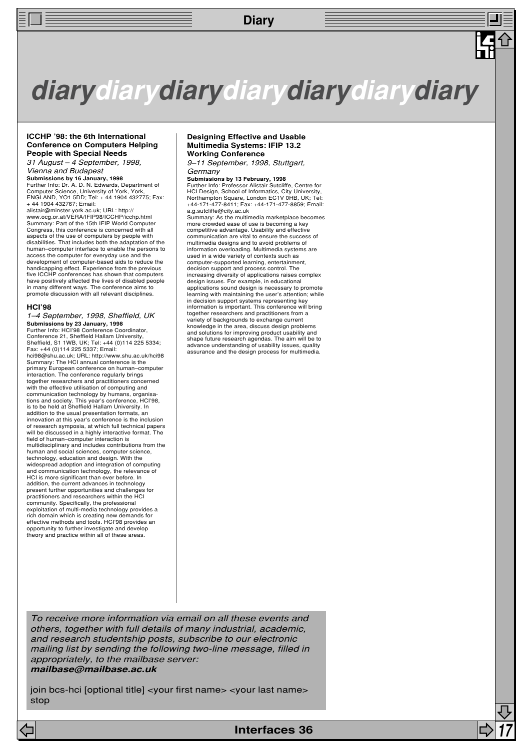## **Diary**

## **diarydiarydiarydiarydiarydiarydiary**

#### **ICCHP '98: the 6th International Conference on Computers Helping People with Special Needs**

31 August – 4 September, 1998, Vienna and Budapest

**Submissions by 16 January, 1998** Further Info: Dr. A. D. N. Edwards, Department of Computer Science, University of York, York, ENGLAND, YO1 5DD; Tel: + 44 1904 432775; Fax: + 44 1904 432767; Email:

alistair@minster.york.ac.uk; URL: http:// www.ocg.or.at/VERA/IFIP98/ICCHP/icchp.html Summary: Part of the 15th IFIP World Computer Congress, this conference is concerned with all aspects of the use of computers by people with disabilities. That includes both the adaptation of the human–computer interface to enable the persons to access the computer for everyday use and the development of computer-based aids to reduce the handicapping effect. Experience from the previous five ICCHP conferences has shown that computers have positively affected the lives of disabled people in many different ways. The conference aims to promote discussion with all relevant disciplines.

#### **HCI'98**

1–4 September, 1998, Sheffield, UK **Submissions by 23 January, 1998** Further Info: HCI'98 Conference Coordinator, Conference 21, Sheffield Hallam University, Sheffield, S1 1WB, UK; Tel: +44 (0)114 225 5334; Fax: +44 (0)114 225 5337; Email: hci98@shu.ac.uk; URL: http://www.shu.ac.uk/hci98 Summary: The HCI annual conference is the primary European conference on human–computer interaction. The conference regularly brings together researchers and practitioners concerned with the effective utilisation of computing and communication technology by humans, organis tions and society. This year's conference, HCI'98, is to be held at Sheffield Hallam University. In addition to the usual presentation formats, an innovation at this year's conference is the inclusion of research symposia, at which full technical papers will be discussed in a highly interactive format. The field of human–computer interaction is multidisciplinary and includes contributions from the human and social sciences, computer science, technology, education and design. With the widespread adoption and integration of computing and communication technology, the relevance of HCI is more significant than ever before. In addition, the current advances in technology present further opportunities and challenges for practitioners and researchers within the HCI community. Specifically, the professional exploitation of multi-media technology provides a rich domain which is creating new demands for effective methods and tools. HCI'98 provides an opportunity to further investigate and develop theory and practice within all of these areas.

#### **Designing Effective and Usable Multimedia Systems: IFIP 13.2 Working Conference**

9–11 September, 1998, Stuttgart, **Germany** 

**Submissions by 13 February, 1998**

Further Info: Professor Alistair Sutcliffe, Centre for HCI Design, School of Informatics, City University, Northampton Square, London EC1V 0HB, UK; Tel: +44-171-477-8411; Fax: +44-171-477-8859; Email: a.g.sutcliffe@city.ac.uk

Summary: As the multimedia marketplace becomes more crowded ease of use is becoming a key competitive advantage. Usability and effective communication are vital to ensure the success of multimedia designs and to avoid problems of information overloading. Multimedia systems are used in a wide variety of contexts such as computer-supported learning, entertainment, decision support and process control. The increasing diversity of applications raises complex design issues. For example, in educational applications sound design is necessary to promote learning with maintaining the user's attention; while in decision support systems representing key information is important. This conference will bring together researchers and practitioners from a variety of backgrounds to exchange current knowledge in the area, discuss design problems and solutions for improving product usability and shape future research agendas. The aim will be to advance understanding of usability issues, quality assurance and the design process for multimedia.

To receive more information via email on all these events and others, together with full details of many industrial, academic, and research studentship posts, subscribe to our electronic mailing list by sending the following two-line message, filled in appropriately, to the mailbase server: **mailbase@mailbase.ac.uk**

join bcs-hci [optional title] <your first name> <your last name> stop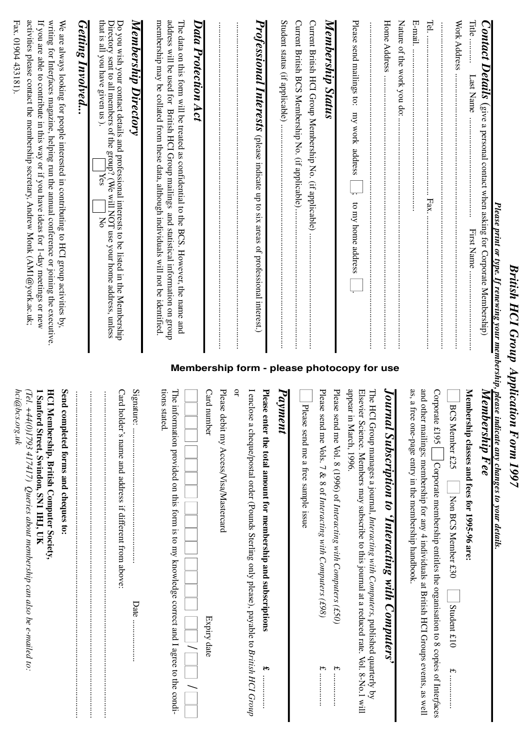| Please print or type. If renewing your membership, please indicate any changes to your details.                                                                                                                                                                                                                                                                         |                                                                                                                                                                                                                                 |
|-------------------------------------------------------------------------------------------------------------------------------------------------------------------------------------------------------------------------------------------------------------------------------------------------------------------------------------------------------------------------|---------------------------------------------------------------------------------------------------------------------------------------------------------------------------------------------------------------------------------|
| <b>Contact Details</b> (give a personal contact when asking for Corporate Membership)                                                                                                                                                                                                                                                                                   | Membership Fee                                                                                                                                                                                                                  |
| Title<br>Last Name<br>First Name                                                                                                                                                                                                                                                                                                                                        | Membership classes and fees for 1995-96 are:                                                                                                                                                                                    |
| Work Address                                                                                                                                                                                                                                                                                                                                                            | ā<br>CS Member £25<br>Non BCS Member £30<br>Student £10<br>$\widetilde{\tau} = \widetilde{\tau}$                                                                                                                                |
| Tel.<br>Fax.                                                                                                                                                                                                                                                                                                                                                            | and other mailings; membership for any 4 individuals at British HCI Groups events, as well<br>Corpo<br>rate £195<br>Corporate membership entitles the organisation to 8 copies of Interfaces                                    |
| E-mail                                                                                                                                                                                                                                                                                                                                                                  | as, a free one-page entry in the membership handbook.                                                                                                                                                                           |
| Nature of the work you do:                                                                                                                                                                                                                                                                                                                                              |                                                                                                                                                                                                                                 |
| Home Address                                                                                                                                                                                                                                                                                                                                                            | Journal Subscription to 'Interacting with Computers'                                                                                                                                                                            |
| Please send mailings to: my work address<br>$\overline{\cdot}$<br>to my home address<br>Membership form - please photocopy for use                                                                                                                                                                                                                                      | appear in March, 1996.<br>Elsevi<br>The HCI Group manages a journal, Interacting with Computers, published quarterly by<br>er Science. Members may subscribe to this journal at a reduced rate. Vol. 8-No.1 will                |
|                                                                                                                                                                                                                                                                                                                                                                         | Please<br>send me Vol. 8 (1996) of Interacting with Computers (£50)<br>$\begin{array}{c} \mathbf{f} \vdots \\ \mathbf{f} \vdots \\ \mathbf{f} \vdots \\ \mathbf{f} \end{array}$                                                 |
| Membership Status                                                                                                                                                                                                                                                                                                                                                       | Please<br>send me Vols. 7 & 8 of Interacting with Computers (£98)<br>٣.                                                                                                                                                         |
| Current British HCI Group Membership No. (if applicable)                                                                                                                                                                                                                                                                                                                | $\overline{\mathbf{z}}$<br>ease send me a free sample issue                                                                                                                                                                     |
| Student status (if applicable)<br>Current British BCS Membership No. (if applicable)                                                                                                                                                                                                                                                                                    | Fayment                                                                                                                                                                                                                         |
| <b>Professional Interests</b> (please indicate up to six areas of professional interest.)                                                                                                                                                                                                                                                                               | I enclose a cheque/postal order (Pounds Sterling only please), payable to British HCI Group<br>Please enter the total amount for membership and subscriptions<br>8Þ,                                                            |
|                                                                                                                                                                                                                                                                                                                                                                         | q<br>Card number<br>Please<br>debit my Access/Visa/Mastercard<br>Expiry date                                                                                                                                                    |
| Data Protection Act                                                                                                                                                                                                                                                                                                                                                     |                                                                                                                                                                                                                                 |
| membership may be collated from these data, although individuals will not be identified.<br>address will be used for British HCI Group mailings and statistical information on group<br>Hre data on this form $\angle$ ill be treated as conflidential to the BCS. However, the name and                                                                                | tions stated.<br>The information provided on this form is to my knowledge correct and I agree to the condi-                                                                                                                     |
| Membership Directory                                                                                                                                                                                                                                                                                                                                                    | Signature:<br>Date                                                                                                                                                                                                              |
| that is all you have given us).<br>Directory sent to all members of the group? (We will NOT use your home address, unless<br>Do you wish your contact details and professional interests to be listed in the Membership-<br>Yes<br>$\mathsf{X}^{\mathsf{C}}$                                                                                                            | Card holder's name and address if different from above:<br>$\vdots$                                                                                                                                                             |
| Getting Involved                                                                                                                                                                                                                                                                                                                                                        | :<br>:<br>:                                                                                                                                                                                                                     |
| activities please contact the membership secretary, Andrew Monk (AM1@york.ac.uk;<br>writing for Interfaces magazine, helping run the annual conference or joining the executive.<br>If you are able to contribute in this way or if you have ideas for 1-day meetings or new<br>We are always looking for people interested in contributing to HCI group activities by, | <b>Send</b><br>1 Sand<br><b>HCI Membership, British Computer Society,</b><br>(Tel. +44(0)1793 417417) Queries about membership can also be e-mailed to:<br>completed forms and cheques to:<br>ford Street, Swindon, SN1 1HJ, UK |
| Fax. 01904 433181).                                                                                                                                                                                                                                                                                                                                                     | hci@bcs.org.uk                                                                                                                                                                                                                  |

*British HCI Group Application Form 1997*

**British HCI Group Application Form 1997**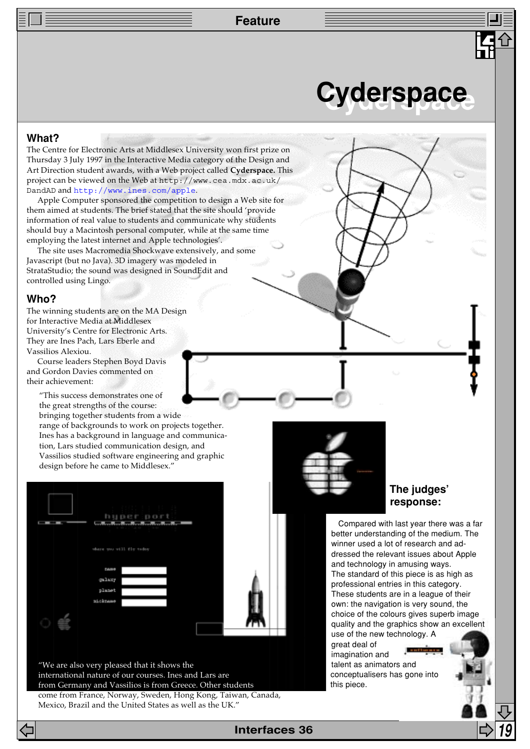**Feature**

## **Cyderspace Cyderspace**

## **What?**

The Centre for Electronic Arts at Middlesex University won first prize on Thursday 3 July 1997 in the Interactive Media category of the Design and Art Direction student awards, with a Web project called **Cyderspace.** This project can be viewed on the Web at http://www.cea.mdx.ac.uk/ DandAD and [http://www.ines.com/apple](http://www.ines.com/apple/).

Apple Computer sponsored the competition to design a Web site for them aimed at students. The brief stated that the site should 'provide information of real value to students and communicate why students should buy a Macintosh personal computer, while at the same time employing the latest internet and Apple technologies'.

The site uses Macromedia Shockwave extensively, and some Javascript (but no Java). 3D imagery was modeled in StrataStudio; the sound was designed in SoundEdit and controlled using Lingo.

## **Who?**

The winning students are on the MA Design for Interactive Media at Middlesex University's Centre for Electronic Arts. They are Ines Pach, Lars Eberle and Vassilios Alexiou.

Course leaders Stephen Boyd Davis and Gordon Davies commented on their achievement:

"This success demonstrates one of the great strengths of the course:

bringing together students from a wide range of backgrounds to work on projects together. Ines has a background in language and communication, Lars studied communication design, and Vassilios studied software engineering and graphic design before he came to Middlesex."

| where you will fly today<br>Dallee<br>galaxy<br>planet<br>zickname | j | huper:port<br><b><i><u>Contractor Contractor</u></i></b><br><b>TELEVISION CONTRACT</b> |  |
|--------------------------------------------------------------------|---|----------------------------------------------------------------------------------------|--|
|                                                                    |   |                                                                                        |  |
|                                                                    |   |                                                                                        |  |
|                                                                    |   |                                                                                        |  |
|                                                                    |   |                                                                                        |  |
|                                                                    |   |                                                                                        |  |
|                                                                    |   |                                                                                        |  |
|                                                                    |   |                                                                                        |  |
|                                                                    |   |                                                                                        |  |

"We are also very pleased that it shows the international nature of our courses. Ines and Lars are from Germany and Vassilios is from Greece. Other students come from France, Norway, Sweden, Hong Kong, Taiwan, Canada, Mexico, Brazil and the United States as well as the UK."



## **The judges' response:**

Compared with last year there was a far better understanding of the medium. The winner used a lot of research and addressed the relevant issues about Apple and technology in amusing ways. The standard of this piece is as high as professional entries in this category. These students are in a league of their own: the navigation is very sound, the choice of the colours gives superb image quality and the graphics show an excellent use of the new technology. A

great deal of **Louis** imagination and talent as animators and conceptualisers has gone into this piece.

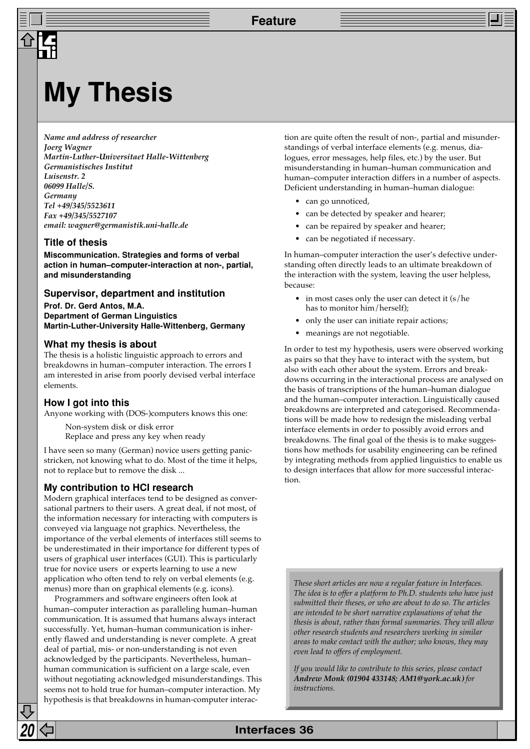## **My Thesis**

*Name and address of researcher Joerg Wagner Martin-Luther-Universitaet Halle-Wittenberg Germanistisches Institut Luisenstr. 2 06099 Halle/S. Germany Tel +49/345/5523611 Fax +49/345/5527107 email: wagner@germanistik.uni-halle.de*

## **Title of thesis**

**Miscommunication. Strategies and forms of verbal action in human–computer-interaction at non-, partial, and misunderstanding**

### **Supervisor, department and institution**

**Prof. Dr. Gerd Antos, M.A. Department of German Linguistics Martin-Luther-University Halle-Wittenberg, Germany**

### **What my thesis is about**

The thesis is a holistic linguistic approach to errors and breakdowns in human–computer interaction. The errors I am interested in arise from poorly devised verbal interface elements.

## **How I got into this**

Anyone working with (DOS-)computers knows this one:

Non-system disk or disk error Replace and press any key when ready

I have seen so many (German) novice users getting panicstricken, not knowing what to do. Most of the time it helps, not to replace but to remove the disk ...

## **My contribution to HCI research**

Modern graphical interfaces tend to be designed as conversational partners to their users. A great deal, if not most, of the information necessary for interacting with computers is conveyed via language not graphics. Nevertheless, the importance of the verbal elements of interfaces still seems to be underestimated in their importance for different types of users of graphical user interfaces (GUI). This is particularly true for novice users or experts learning to use a new application who often tend to rely on verbal elements (e.g. menus) more than on graphical elements (e.g. icons).

Programmers and software engineers often look at human–computer interaction as paralleling human–human communication. It is assumed that humans always interact successfully. Yet, human–human communication is inherently flawed and understanding is never complete. A great deal of partial, mis- or non-understanding is not even acknowledged by the participants. Nevertheless, human– human communication is sufficient on a large scale, even without negotiating acknowledged misunderstandings. This seems not to hold true for human–computer interaction. My hypothesis is that breakdowns in human-computer interac-

tion are quite often the result of non-, partial and misunderstandings of verbal interface elements (e.g. menus, dialogues, error messages, help files, etc.) by the user. But misunderstanding in human–human communication and human–computer interaction differs in a number of aspects. Deficient understanding in human–human dialogue:

- can go unnoticed,
- can be detected by speaker and hearer;
- can be repaired by speaker and hearer;
- can be negotiated if necessary.

In human–computer interaction the user's defective understanding often directly leads to an ultimate breakdown of the interaction with the system, leaving the user helpless, because:

- in most cases only the user can detect it  $(s/he)$ has to monitor him/herself);
- only the user can initiate repair actions;
- meanings are not negotiable.

In order to test my hypothesis, users were observed working as pairs so that they have to interact with the system, but also with each other about the system. Errors and breakdowns occurring in the interactional process are analysed on the basis of transcriptions of the human–human dialogue and the human–computer interaction. Linguistically caused breakdowns are interpreted and categorised. Recommendations will be made how to redesign the misleading verbal interface elements in order to possibly avoid errors and breakdowns. The final goal of the thesis is to make suggestions how methods for usability engineering can be refined by integrating methods from applied linguistics to enable us to design interfaces that allow for more successful interaction.

*These short articles are now a regular feature in Interfaces. The idea is to offer a platform to Ph.D. students who have just submitted their theses, or who are about to do so. The articles are intended to be short narrative explanations of what the thesis is about, rather than formal summaries. They will allow other research students and researchers working in similar areas to make contact with the author; who knows, they may even lead to offers of employment.*

*If you would like to contribute to this series, please contact Andrew Monk (01904 433148; AM1@york.ac.uk) for instructions.*

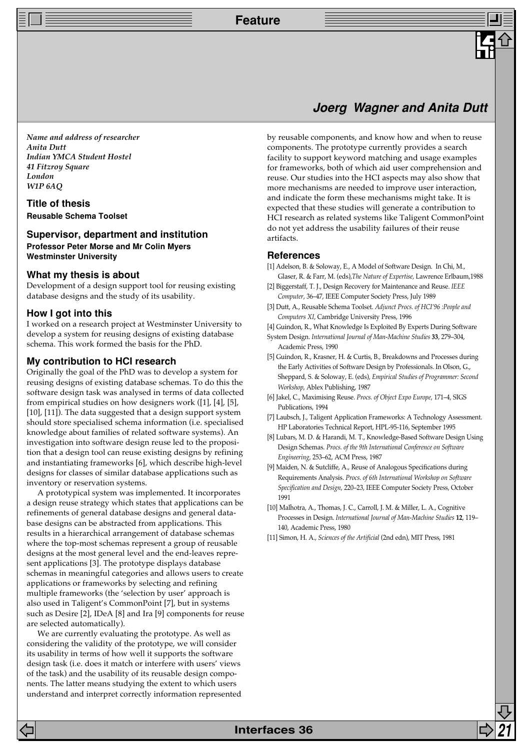**Feature**

## **Joerg Wagner and Anita Dutt**

*Name and address of researcher Anita Dutt Indian YMCA Student Hostel 41 Fitzroy Square London W1P 6AQ*

**Title of thesis Reusable Schema Toolset**

## **Supervisor, department and institution**

**Professor Peter Morse and Mr Colin Myers Westminster University**

### **What my thesis is about**

Development of a design support tool for reusing existing database designs and the study of its usability.

### **How I got into this**

I worked on a research project at Westminster University to develop a system for reusing designs of existing database schema. This work formed the basis for the PhD.

### **My contribution to HCI research**

Originally the goal of the PhD was to develop a system for reusing designs of existing database schemas. To do this the software design task was analysed in terms of data collected from empirical studies on how designers work ([1], [4], [5], [10], [11]). The data suggested that a design support system should store specialised schema information (i.e. specialised knowledge about families of related software systems). An investigation into software design reuse led to the proposition that a design tool can reuse existing designs by refining and instantiating frameworks [6], which describe high-level designs for classes of similar database applications such as inventory or reservation systems.

A prototypical system was implemented. It incorporates a design reuse strategy which states that applications can be refinements of general database designs and general database designs can be abstracted from applications. This results in a hierarchical arrangement of database schemas where the top-most schemas represent a group of reusable designs at the most general level and the end-leaves represent applications [3]. The prototype displays database schemas in meaningful categories and allows users to create applications or frameworks by selecting and refining multiple frameworks (the 'selection by user' approach is also used in Taligent's CommonPoint [7], but in systems such as Desire [2], IDeA [8] and Ira [9] components for reuse are selected automatically).

We are currently evaluating the prototype. As well as considering the validity of the prototype, we will consider its usability in terms of how well it supports the software design task (i.e. does it match or interfere with users' views of the task) and the usability of its reusable design components. The latter means studying the extent to which users understand and interpret correctly information represented by reusable components, and know how and when to reuse components. The prototype currently provides a search facility to support keyword matching and usage examples for frameworks, both of which aid user comprehension and reuse. Our studies into the HCI aspects may also show that more mechanisms are needed to improve user interaction, and indicate the form these mechanisms might take. It is expected that these studies will generate a contribution to HCI research as related systems like Taligent CommonPoint do not yet address the usability failures of their reuse artifacts.

## **References**

- [1] Adelson, B. & Soloway, E., A Model of Software Design. In Chi, M., Glaser, R. & Farr, M. (eds),*The Nature of Expertise,* Lawrence Erlbaum,1988
- [2] Biggerstaff, T. J., Design Recovery for Maintenance and Reuse. *IEEE Computer*, 36–47, IEEE Computer Society Press, July 1989
- [3] Dutt, A., Reusable Schema Toolset. *Adjunct Procs. of HCI'96 :People and Computers XI*, Cambridge University Press, 1996

[4] Guindon, R., What Knowledge Is Exploited By Experts During Software

System Design. *International Journal of Man-Machine Studies* **33**, 279–304, Academic Press, 1990

[5] Guindon, R., Krasner, H. & Curtis, B., Breakdowns and Processes during the Early Activities of Software Design by Professionals. In Olson, G., Sheppard, S. & Soloway, E. (eds), *Empirical Studies of Programmer: Second Workshop*, Ablex Publishing, 1987

- [6] Jakel, C., Maximising Reuse. *Procs. of Object Expo Europe*, 171–4, SIGS Publications, 1994
- [7] Laubsch, J., Taligent Application Frameworks: A Technology Assessment. HP Laboratories Technical Report, HPL-95-116, September 1995
- [8] Lubars, M. D. & Harandi, M. T., Knowledge-Based Software Design Using Design Schemas. *Procs. of the 9th International Conference on Software Engineering*, 253–62, ACM Press, 1987
- [9] Maiden, N. & Sutcliffe, A., Reuse of Analogous Specifications during Requirements Analysis. *Procs. of 6th International Workshop on Software Specification and Design*, 220–23, IEEE Computer Society Press, October 1991
- [10] Malhotra, A., Thomas, J. C., Carroll, J. M. & Miller, L. A., Cognitive Processes in Design. *International Journal of Man-Machine Studies* **12**, 119– 140, Academic Press, 1980
- [11] Simon, H. A., *Sciences of the Artificial* (2nd edn), MIT Press, 1981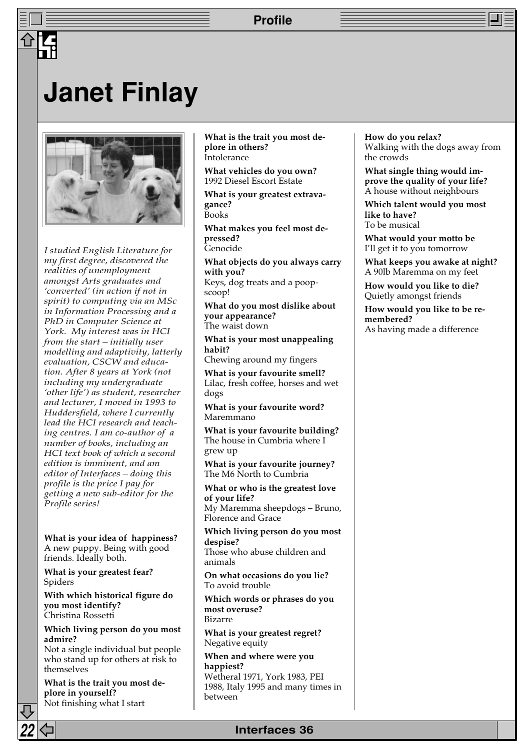## **Profile**

## **Janet Finlay**



*I studied English Literature for my first degree, discovered the realities of unemployment amongst Arts graduates and 'converted' (in action if not in spirit) to computing via an MSc in Information Processing and a PhD in Computer Science at York. My interest was in HCI from the start – initially user modelling and adaptivity, latterly evaluation, CSCW and education. After 8 years at York (not including my undergraduate 'other life') as student, researcher and lecturer, I moved in 1993 to Huddersfield, where I currently lead the HCI research and teaching centres. I am co-author of a number of books, including an HCI text book of which a second edition is imminent, and am editor of Interfaces – doing this profile is the price I pay for getting a new sub-editor for the Profile series!*

**What is your idea of happiness?** A new puppy. Being with good friends. Ideally both.

**What is your greatest fear?** Spiders

**With which historical figure do you most identify?** Christina Rossetti

**Which living person do you most admire?**

Not a single individual but people who stand up for others at risk to themselves

**What is the trait you most deplore in yourself?** Not finishing what I start

**What is the trait you most deplore in others? Intolerance** 

**What vehicles do you own?** 1992 Diesel Escort Estate

**What is your greatest extravagance?** Books

**What makes you feel most depressed? Genocide** 

**What objects do you always carry with you?**

Keys, dog treats and a poopscoop!

**What do you most dislike about your appearance?** The waist down

**What is your most unappealing habit?**

Chewing around my fingers

**What is your favourite smell?** Lilac, fresh coffee, horses and wet dogs

**What is your favourite word?** Maremmano

**What is your favourite building?** The house in Cumbria where I grew up

**What is your favourite journey?** The M6 North to Cumbria

**What or who is the greatest love of your life?** My Maremma sheepdogs – Bruno,

Florence and Grace **Which living person do you most despise?**

Those who abuse children and animals

**On what occasions do you lie?** To avoid trouble

**Which words or phrases do you most overuse?** Bizarre

**What is your greatest regret?** Negative equity

**When and where were you happiest?** Wetheral 1971, York 1983, PEI 1988, Italy 1995 and many times in between

**How do you relax?** Walking with the dogs away from the crowds

**What single thing would improve the quality of your life?** A house without neighbours

**Which talent would you most like to have?** To be musical

**What would your motto be** I'll get it to you tomorrow

**What keeps you awake at night?** A 90lb Maremma on my feet

**How would you like to die?** Quietly amongst friends

**How would you like to be remembered?** As having made a difference

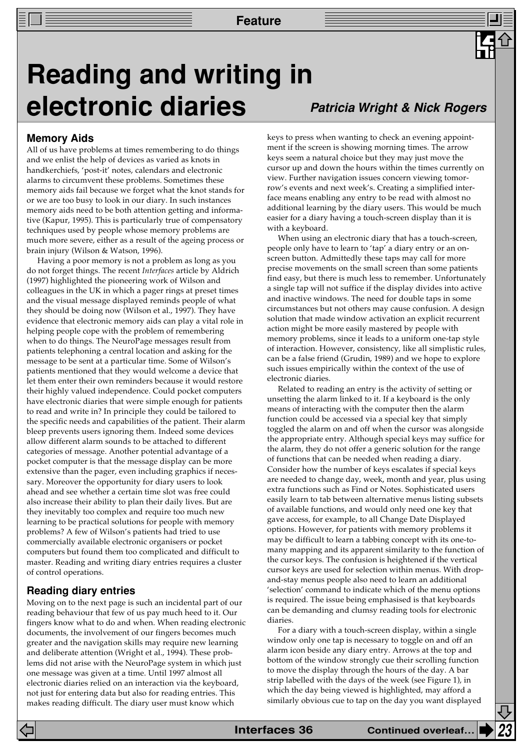## **Reading and writing in electronic diaries Patricia Wright & Nick Rogers**

## **Memory Aids**

All of us have problems at times remembering to do things and we enlist the help of devices as varied as knots in handkerchiefs, 'post-it' notes, calendars and electronic alarms to circumvent these problems. Sometimes these memory aids fail because we forget what the knot stands for or we are too busy to look in our diary. In such instances memory aids need to be both attention getting and informative (Kapur, 1995). This is particularly true of compensatory techniques used by people whose memory problems are much more severe, either as a result of the ageing process or brain injury (Wilson & Watson, 1996).

Having a poor memory is not a problem as long as you do not forget things. The recent *Interfaces* article by Aldrich (1997) highlighted the pioneering work of Wilson and colleagues in the UK in which a pager rings at preset times and the visual message displayed reminds people of what they should be doing now (Wilson et al., 1997). They have evidence that electronic memory aids can play a vital role in helping people cope with the problem of remembering when to do things. The NeuroPage messages result from patients telephoning a central location and asking for the message to be sent at a particular time. Some of Wilson's patients mentioned that they would welcome a device that let them enter their own reminders because it would restore their highly valued independence. Could pocket computers have electronic diaries that were simple enough for patients to read and write in? In principle they could be tailored to the specific needs and capabilities of the patient. Their alarm bleep prevents users ignoring them. Indeed some devices allow different alarm sounds to be attached to different categories of message. Another potential advantage of a pocket computer is that the message display can be more extensive than the pager, even including graphics if necessary. Moreover the opportunity for diary users to look ahead and see whether a certain time slot was free could also increase their ability to plan their daily lives. But are they inevitably too complex and require too much new learning to be practical solutions for people with memory problems? A few of Wilson's patients had tried to use commercially available electronic organisers or pocket computers but found them too complicated and difficult to master. Reading and writing diary entries requires a cluster of control operations.

## **Reading diary entries**

Moving on to the next page is such an incidental part of our reading behaviour that few of us pay much heed to it. Our fingers know what to do and when. When reading electronic documents, the involvement of our fingers becomes much greater and the navigation skills may require new learning and deliberate attention (Wright et al., 1994). These problems did not arise with the NeuroPage system in which just one message was given at a time. Until 1997 almost all electronic diaries relied on an interaction via the keyboard, not just for entering data but also for reading entries. This makes reading difficult. The diary user must know which

keys to press when wanting to check an evening appointment if the screen is showing morning times. The arrow keys seem a natural choice but they may just move the cursor up and down the hours within the times currently on view. Further navigation issues concern viewing tomorrow's events and next week's. Creating a simplified interface means enabling any entry to be read with almost no additional learning by the diary users. This would be much easier for a diary having a touch-screen display than it is with a keyboard.

When using an electronic diary that has a touch-screen, people only have to learn to 'tap' a diary entry or an onscreen button. Admittedly these taps may call for more precise movements on the small screen than some patients find easy, but there is much less to remember. Unfortunately a single tap will not suffice if the display divides into active and inactive windows. The need for double taps in some circumstances but not others may cause confusion. A design solution that made window activation an explicit recurrent action might be more easily mastered by people with memory problems, since it leads to a uniform one-tap style of interaction. However, consistency, like all simplistic rules, can be a false friend (Grudin, 1989) and we hope to explore such issues empirically within the context of the use of electronic diaries.

Related to reading an entry is the activity of setting or unsetting the alarm linked to it. If a keyboard is the only means of interacting with the computer then the alarm function could be accessed via a special key that simply toggled the alarm on and off when the cursor was alongside the appropriate entry. Although special keys may suffice for the alarm, they do not offer a generic solution for the range of functions that can be needed when reading a diary. Consider how the number of keys escalates if special keys are needed to change day, week, month and year, plus using extra functions such as Find or Notes. Sophisticated users easily learn to tab between alternative menus listing subsets of available functions, and would only need one key that gave access, for example, to all Change Date Displayed options. However, for patients with memory problems it may be difficult to learn a tabbing concept with its one-tomany mapping and its apparent similarity to the function of the cursor keys. The confusion is heightened if the vertical cursor keys are used for selection within menus. With dropand-stay menus people also need to learn an additional 'selection' command to indicate which of the menu options is required. The issue being emphasised is that keyboards can be demanding and clumsy reading tools for electronic diaries.

For a diary with a touch-screen display, within a single window only one tap is necessary to toggle on and off an alarm icon beside any diary entry. Arrows at the top and bottom of the window strongly cue their scrolling function to move the display through the hours of the day. A bar strip labelled with the days of the week (see Figure 1), in which the day being viewed is highlighted, may afford a similarly obvious cue to tap on the day you want displayed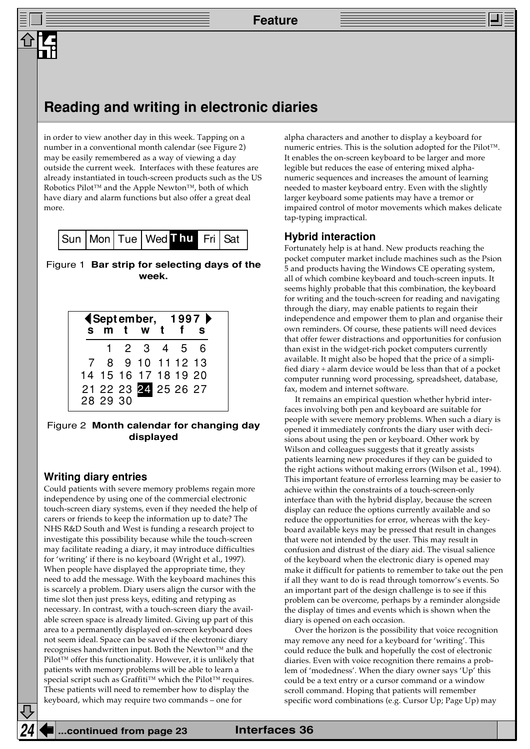## **Reading and writing in electronic diaries**

in order to view another day in this week. Tapping on a number in a conventional month calendar (see Figure 2) may be easily remembered as a way of viewing a day outside the current week. Interfaces with these features are already instantiated in touch-screen products such as the US Robotics Pilot™ and the Apple Newton™, both of which have diary and alarm functions but also offer a great deal more.

|  |  |  |  | Sun   Mon   Tue   Wed Linu   Fri   Sat |  |  |
|--|--|--|--|----------------------------------------|--|--|
|--|--|--|--|----------------------------------------|--|--|

Figure 1 **Bar strip for selecting days of the week.**

|          | s m t w t            |  | <b>《September, 1997》</b><br>S |
|----------|----------------------|--|-------------------------------|
|          |                      |  |                               |
|          | 1 2 3 4 5 6          |  |                               |
|          | 7 8 9 10 11 12 13    |  |                               |
|          | 14 15 16 17 18 19 20 |  |                               |
| 28 29 30 | 21 22 23 24 25 26 27 |  |                               |

## Figure 2 **Month calendar for changing day displayed**

## **Writing diary entries**

Could patients with severe memory problems regain more independence by using one of the commercial electronic touch-screen diary systems, even if they needed the help of carers or friends to keep the information up to date? The NHS R&D South and West is funding a research project to investigate this possibility because while the touch-screen may facilitate reading a diary, it may introduce difficulties for 'writing' if there is no keyboard (Wright et al., 1997). When people have displayed the appropriate time, they need to add the message. With the keyboard machines this is scarcely a problem. Diary users align the cursor with the time slot then just press keys, editing and retyping as necessary. In contrast, with a touch-screen diary the available screen space is already limited. Giving up part of this area to a permanently displayed on-screen keyboard does not seem ideal. Space can be saved if the electronic diary recognises handwritten input. Both the Newton™ and the Pilot™ offer this functionality. However, it is unlikely that patients with memory problems will be able to learn a special script such as Graffiti™ which the Pilot™ requires. These patients will need to remember how to display the keyboard, which may require two commands – one for

alpha characters and another to display a keyboard for numeric entries. This is the solution adopted for the Pilot™. It enables the on-screen keyboard to be larger and more legible but reduces the ease of entering mixed alphanumeric sequences and increases the amount of learning needed to master keyboard entry. Even with the slightly larger keyboard some patients may have a tremor or impaired control of motor movements which makes delicate tap-typing impractical.

## **Hybrid interaction**

Fortunately help is at hand. New products reaching the pocket computer market include machines such as the Psion 5 and products having the Windows CE operating system, all of which combine keyboard and touch-screen inputs. It seems highly probable that this combination, the keyboard for writing and the touch-screen for reading and navigating through the diary, may enable patients to regain their independence and empower them to plan and organise their own reminders. Of course, these patients will need devices that offer fewer distractions and opportunities for confusion than exist in the widget-rich pocket computers currently available. It might also be hoped that the price of a simplified diary + alarm device would be less than that of a pocket computer running word processing, spreadsheet, database, fax, modem and internet software.

It remains an empirical question whether hybrid interfaces involving both pen and keyboard are suitable for people with severe memory problems. When such a diary is opened it immediately confronts the diary user with decisions about using the pen or keyboard. Other work by Wilson and colleagues suggests that it greatly assists patients learning new procedures if they can be guided to the right actions without making errors (Wilson et al., 1994). This important feature of errorless learning may be easier to achieve within the constraints of a touch-screen-only interface than with the hybrid display, because the screen display can reduce the options currently available and so reduce the opportunities for error, whereas with the keyboard available keys may be pressed that result in changes that were not intended by the user. This may result in confusion and distrust of the diary aid. The visual salience of the keyboard when the electronic diary is opened may make it difficult for patients to remember to take out the pen if all they want to do is read through tomorrow's events. So an important part of the design challenge is to see if this problem can be overcome, perhaps by a reminder alongside the display of times and events which is shown when the diary is opened on each occasion.

Over the horizon is the possibility that voice recognition may remove any need for a keyboard for 'writing'. This could reduce the bulk and hopefully the cost of electronic diaries. Even with voice recognition there remains a problem of 'modedness'. When the diary owner says 'Up' this could be a text entry or a cursor command or a window scroll command. Hoping that patients will remember specific word combinations (e.g. Cursor Up; Page Up) may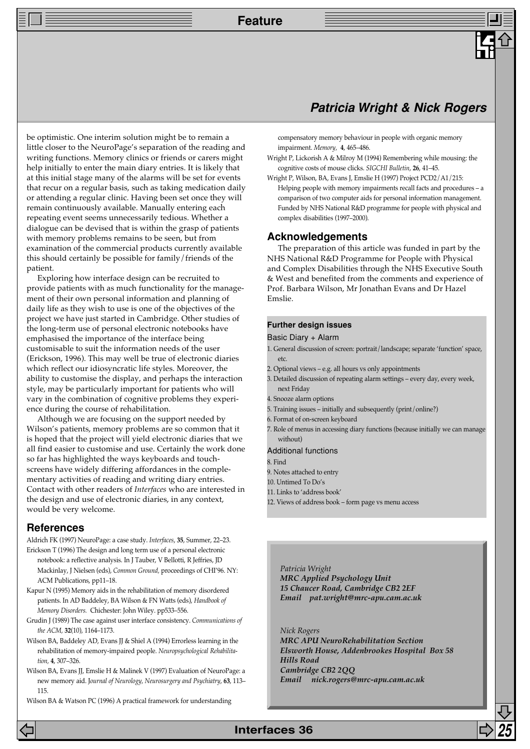**Feature**

## **Patricia Wright & Nick Rogers**

be optimistic. One interim solution might be to remain a little closer to the NeuroPage's separation of the reading and writing functions. Memory clinics or friends or carers might help initially to enter the main diary entries. It is likely that at this initial stage many of the alarms will be set for events that recur on a regular basis, such as taking medication daily or attending a regular clinic. Having been set once they will remain continuously available. Manually entering each repeating event seems unnecessarily tedious. Whether a dialogue can be devised that is within the grasp of patients with memory problems remains to be seen, but from examination of the commercial products currently available this should certainly be possible for family/friends of the patient.

Exploring how interface design can be recruited to provide patients with as much functionality for the management of their own personal information and planning of daily life as they wish to use is one of the objectives of the project we have just started in Cambridge. Other studies of the long-term use of personal electronic notebooks have emphasised the importance of the interface being customisable to suit the information needs of the user (Erickson, 1996). This may well be true of electronic diaries which reflect our idiosyncratic life styles. Moreover, the ability to customise the display, and perhaps the interaction style, may be particularly important for patients who will vary in the combination of cognitive problems they experience during the course of rehabilitation.

Although we are focusing on the support needed by Wilson's patients, memory problems are so common that it is hoped that the project will yield electronic diaries that we all find easier to customise and use. Certainly the work done so far has highlighted the ways keyboards and touchscreens have widely differing affordances in the complementary activities of reading and writing diary entries. Contact with other readers of *Interfaces* who are interested in the design and use of electronic diaries, in any context, would be very welcome.

## **References**

Aldrich FK (1997) NeuroPage: a case study. *Interfaces*, **35**, Summer, 22–23.

- Erickson T (1996) The design and long term use of a personal electronic notebook: a reflective analysis. In J Tauber, V Bellotti, R Jeffries, JD Mackinlay, J Nielsen (eds), *Common Ground,* proceedings of CHI'96. NY: ACM Publications, pp11–18.
- Kapur N (1995) Memory aids in the rehabilitation of memory disordered patients. In AD Baddeley, BA Wilson & FN Watts (eds), *Handbook of Memory Disorders.* Chichester: John Wiley. pp533–556.
- Grudin J (1989) The case against user interface consistency. *Communications of the ACM,* **32**(10), 1164–1173.
- Wilson BA, Baddeley AD, Evans JJ & Shiel A (1994) Errorless learning in the rehabilitation of memory-impaired people. *Neuropsychological Rehabilitation,* **4**, 307–326.
- Wilson BA, Evans JJ, Emslie H & Malinek V (1997) Evaluation of NeuroPage: a new memory aid. J*ournal of Neurology, Neurosurgery and Psychiatry*, **63**, 113– 115.

Wilson BA & Watson PC (1996) A practical framework for understanding

compensatory memory behaviour in people with organic memory impairment. *Memory,* **4**, 465–486.

- Wright P, Lickorish A & Milroy M (1994) Remembering while mousing: the cognitive costs of mouse clicks. *SIGCHI Bulletin*, **26**, 41–45.
- Wright P, Wilson, BA, Evans J, Emslie H (1997) Project PCD2/A1/215: Helping people with memory impairments recall facts and procedures – a comparison of two computer aids for personal information management. Funded by NHS National R&D programme for people with physical and complex disabilities (1997–2000).

## **Acknowledgements**

The preparation of this article was funded in part by the NHS National R&D Programme for People with Physical and Complex Disabilities through the NHS Executive South & West and benefited from the comments and experience of Prof. Barbara Wilson, Mr Jonathan Evans and Dr Hazel Emslie.

#### **Further design issues**

#### Basic Diary + Alarm

- 1. General discussion of screen: portrait/landscape; separate 'function' space, etc.
- 2. Optional views e.g. all hours vs only appointments
- 3. Detailed discussion of repeating alarm settings every day, every week, next Friday
- 4. Snooze alarm options
- 5. Training issues initially and subsequently (print/online?)
- 6. Format of on-screen keyboard
- 7. Role of menus in accessing diary functions (because initially we can manage without)
- Additional functions
- 8. Find
- 9. Notes attached to entry
- 10. Untimed To Do's
- 11. Links to 'address book'
- 12. Views of address book form page vs menu access

*Patricia Wright MRC Applied Psychology Unit 15 Chaucer Road, Cambridge CB2 2EF Email pat.wright@mrc-apu.cam.ac.uk*

*Nick Rogers MRC APU NeuroRehabilitation Section Elsworth House, Addenbrookes Hospital Box 58 Hills Road Cambridge CB2 2QQ Email nick.rogers@mrc-apu.cam.ac.uk*

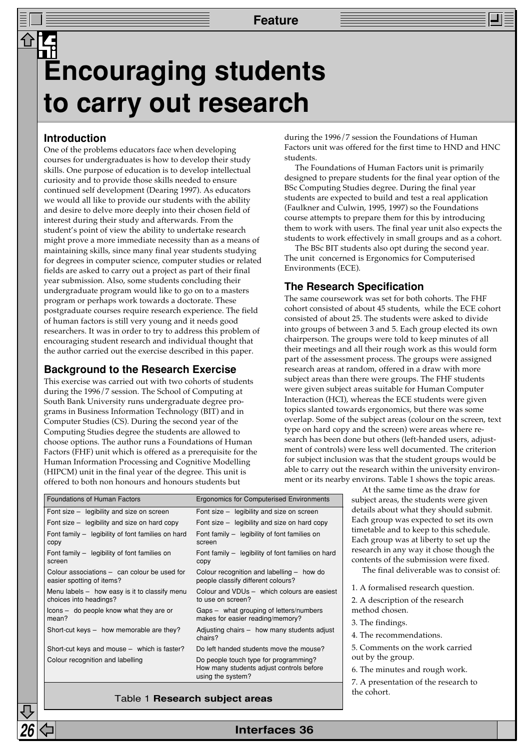## **Encouraging students to carry out research**

## **Introduction**

One of the problems educators face when developing courses for undergraduates is how to develop their study skills. One purpose of education is to develop intellectual curiosity and to provide those skills needed to ensure continued self development (Dearing 1997). As educators we would all like to provide our students with the ability and desire to delve more deeply into their chosen field of interest during their study and afterwards. From the student's point of view the ability to undertake research might prove a more immediate necessity than as a means of maintaining skills, since many final year students studying for degrees in computer science, computer studies or related fields are asked to carry out a project as part of their final year submission. Also, some students concluding their undergraduate program would like to go on to a masters program or perhaps work towards a doctorate. These postgraduate courses require research experience. The field of human factors is still very young and it needs good researchers. It was in order to try to address this problem of encouraging student research and individual thought that the author carried out the exercise described in this paper.

## **Background to the Research Exercise**

This exercise was carried out with two cohorts of students during the 1996/7 session. The School of Computing at South Bank University runs undergraduate degree programs in Business Information Technology (BIT) and in Computer Studies (CS). During the second year of the Computing Studies degree the students are allowed to choose options. The author runs a Foundations of Human Factors (FHF) unit which is offered as a prerequisite for the Human Information Processing and Cognitive Modelling (HIPCM) unit in the final year of the degree. This unit is

during the 1996/7 session the Foundations of Human Factors unit was offered for the first time to HND and HNC students.

The Foundations of Human Factors unit is primarily designed to prepare students for the final year option of the BSc Computing Studies degree. During the final year students are expected to build and test a real application (Faulkner and Culwin, 1995, 1997) so the Foundations course attempts to prepare them for this by introducing them to work with users. The final year unit also expects the students to work effectively in small groups and as a cohort.

The BSc BIT students also opt during the second year. The unit concerned is Ergonomics for Computerised Environments (ECE).

## **The Research Specification**

The same coursework was set for both cohorts. The FHF cohort consisted of about 45 students, while the ECE cohort consisted of about 25. The students were asked to divide into groups of between 3 and 5. Each group elected its own chairperson. The groups were told to keep minutes of all their meetings and all their rough work as this would form part of the assessment process. The groups were assigned research areas at random, offered in a draw with more subject areas than there were groups. The FHF students were given subject areas suitable for Human Computer Interaction (HCI), whereas the ECE students were given d towards ergonomics, but there was some ne of the subject areas (colour on the screen, text t copy and the screen) were areas where reeen done but others (left-handed users, adjusttrols) were less well documented. The criterion nclusion was that the student groups would be out the research within the university environnearby environs. Table 1 shows the topic areas.

> At the same time as the draw for subject areas, the students were given details about what they should submit. Each group was expected to set its own timetable and to keep to this schedule. Each group was at liberty to set up the research in any way it chose though the contents of the submission were fixed.

The final deliverable was to consist of:

1. A formalised research question.

2. A description of the research method chosen.

- 3. The findings.
- 4. The recommendations.
- 5. Comments on the work carried out by the group.
- 6. The minutes and rough work.
- 7. A presentation of the research to the cohort.

|  | Table 1 Research subject areas |  |  |
|--|--------------------------------|--|--|
|--|--------------------------------|--|--|

| grams in Business Information Technology (BIT) and in         | topics slanted                                                                                         |
|---------------------------------------------------------------|--------------------------------------------------------------------------------------------------------|
| Computer Studies (CS). During the second year of the          | overlap. Some                                                                                          |
| Computing Studies degree the students are allowed to          | type on hard c                                                                                         |
| choose options. The author runs a Foundations of Human        | search has bee                                                                                         |
| Factors (FHF) unit which is offered as a prerequisite for the | ment of contro                                                                                         |
| Human Information Processing and Cognitive Modelling          | for subject incl                                                                                       |
| (HIPCM) unit in the final year of the degree. This unit is    | able to carry of                                                                                       |
| offered to both non honours and honours students but          | ment or its nea                                                                                        |
| <b>Foundations of Human Factors</b>                           | <b>Ergonomics for Computerised Environments</b>                                                        |
| Font size - legibility and size on screen                     | Font size - legibility and size on screen                                                              |
| Font size - legibility and size on hard copy                  | Font size - legibility and size on hard copy                                                           |
| Font family - legibility of font families on hard             | Font family - legibility of font families on                                                           |
| copy                                                          | screen                                                                                                 |
| Font family - legibility of font families on                  | Font family - legibility of font families on hard                                                      |
| screen                                                        | copy                                                                                                   |
| Colour associations - can colour be used for                  | Colour recognition and labelling - how do                                                              |
| easier spotting of items?                                     | people classify different colours?                                                                     |
| Menu labels $-$ how easy is it to classify menu               | Colour and VDUs - which colours are easiest                                                            |
| choices into headings?                                        | to use on screen?                                                                                      |
| Icons - do people know what they are or                       | Gaps - what grouping of letters/numbers                                                                |
| mean?                                                         | makes for easier reading/memory?                                                                       |
| Short-cut keys - how memorable are they?                      | Adjusting chairs - how many students adjust<br>chairs?                                                 |
| Short-cut keys and mouse - which is faster?                   | Do left handed students move the mouse?                                                                |
| Colour recognition and labelling                              | Do people touch type for programming?<br>How many students adjust controls before<br>using the system? |

**26 Interfaces 36**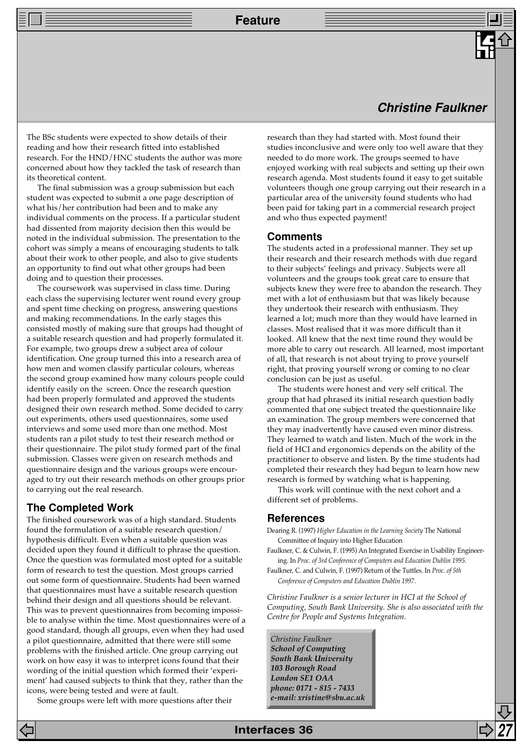**Feature**

## **Christine Faulkner**

The BSc students were expected to show details of their reading and how their research fitted into established research. For the HND/HNC students the author was more concerned about how they tackled the task of research than its theoretical content.

The final submission was a group submission but each student was expected to submit a one page description of what his/her contribution had been and to make any individual comments on the process. If a particular student had dissented from majority decision then this would be noted in the individual submission. The presentation to the cohort was simply a means of encouraging students to talk about their work to other people, and also to give students an opportunity to find out what other groups had been doing and to question their processes.

The coursework was supervised in class time. During each class the supervising lecturer went round every group and spent time checking on progress, answering questions and making recommendations. In the early stages this consisted mostly of making sure that groups had thought of a suitable research question and had properly formulated it. For example, two groups drew a subject area of colour identification. One group turned this into a research area of how men and women classify particular colours, whereas the second group examined how many colours people could identify easily on the screen. Once the research question had been properly formulated and approved the students designed their own research method. Some decided to carry out experiments, others used questionnaires, some used interviews and some used more than one method. Most students ran a pilot study to test their research method or their questionnaire. The pilot study formed part of the final submission. Classes were given on research methods and questionnaire design and the various groups were encouraged to try out their research methods on other groups prior to carrying out the real research.

## **The Completed Work**

The finished coursework was of a high standard. Students found the formulation of a suitable research question/ hypothesis difficult. Even when a suitable question was decided upon they found it difficult to phrase the question. Once the question was formulated most opted for a suitable form of research to test the question. Most groups carried out some form of questionnaire. Students had been warned that questionnaires must have a suitable research question behind their design and all questions should be relevant. This was to prevent questionnaires from becoming impossible to analyse within the time. Most questionnaires were of a good standard, though all groups, even when they had used a pilot questionnaire, admitted that there were still some problems with the finished article. One group carrying out work on how easy it was to interpret icons found that their wording of the initial question which formed their 'experiment' had caused subjects to think that they, rather than the icons, were being tested and were at fault.

Some groups were left with more questions after their

research than they had started with. Most found their studies inconclusive and were only too well aware that they needed to do more work. The groups seemed to have enjoyed working with real subjects and setting up their own research agenda. Most students found it easy to get suitable volunteers though one group carrying out their research in a particular area of the university found students who had been paid for taking part in a commercial research project and who thus expected payment!

### **Comments**

The students acted in a professional manner. They set up their research and their research methods with due regard to their subjects' feelings and privacy. Subjects were all volunteers and the groups took great care to ensure that subjects knew they were free to abandon the research. They met with a lot of enthusiasm but that was likely because they undertook their research with enthusiasm. They learned a lot; much more than they would have learned in classes. Most realised that it was more difficult than it looked. All knew that the next time round they would be more able to carry out research. All learned, most important of all, that research is not about trying to prove yourself right, that proving yourself wrong or coming to no clear conclusion can be just as useful.

The students were honest and very self critical. The group that had phrased its initial research question badly commented that one subject treated the questionnaire like an examination. The group members were concerned that they may inadvertently have caused even minor distress. They learned to watch and listen. Much of the work in the field of HCI and ergonomics depends on the ability of the practitioner to observe and listen. By the time students had completed their research they had begun to learn how new research is formed by watching what is happening.

This work will continue with the next cohort and a different set of problems.

### **References**

- Dearing R. (1997) *Higher Education in the Learning Society* The National Committee of Inquiry into Higher Education
- Faulkner, C. & Culwin, F. (1995) An Integrated Exercise in Usability Engineering. In *Proc. of 3rd Conference of Computers and Education Dublin 1995*.
- Faulkner, C. and Culwin, F. (1997) Return of the Tuttles. In *Proc. of 5th Conference of Computers and Education Dublin 1997*.

*Christine Faulkner is a senior lecturer in HCI at the School of Computing, South Bank University. She is also associated with the Centre for People and Systems Integration.*

*Christine Faulkner School of Computing South Bank University 103 Borough Road London SE1 OAA phone: 0171 - 815 - 7433 e-mail: xristine@sbu.ac.uk*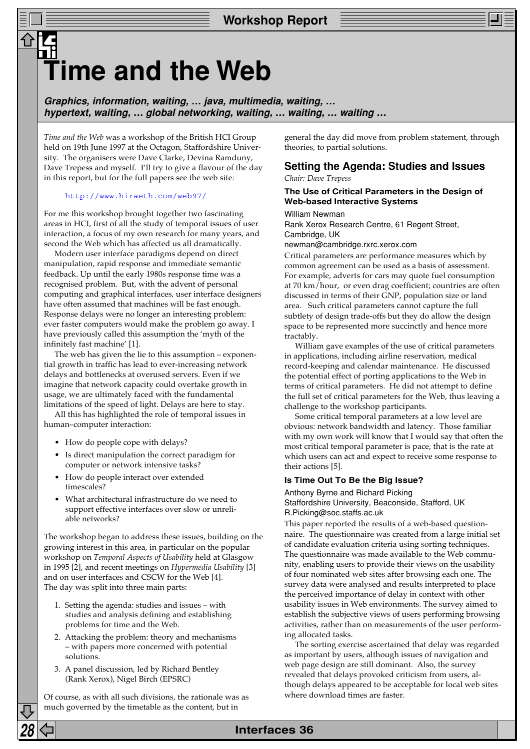## **Time and the Web**

**Graphics, information, waiting, … java, multimedia, waiting, … hypertext, waiting, … global networking, waiting, … waiting, … waiting …**

*Time and the Web* was a workshop of the British HCI Group held on 19th June 1997 at the Octagon, Staffordshire University. The organisers were Dave Clarke, Devina Ramduny, Dave Trepess and myself. I'll try to give a flavour of the day in this report, but for the full papers see the web site:

#### <http://www.hiraeth.com/web97/>

For me this workshop brought together two fascinating areas in HCI, first of all the study of temporal issues of user interaction, a focus of my own research for many years, and second the Web which has affected us all dramatically.

Modern user interface paradigms depend on direct manipulation, rapid response and immediate semantic feedback. Up until the early 1980s response time was a recognised problem. But, with the advent of personal computing and graphical interfaces, user interface designers have often assumed that machines will be fast enough. Response delays were no longer an interesting problem: ever faster computers would make the problem go away. I have previously called this assumption the 'myth of the infinitely fast machine' [1].

The web has given the lie to this assumption – exponential growth in traffic has lead to ever-increasing network delays and bottlenecks at overused servers. Even if we imagine that network capacity could overtake growth in usage, we are ultimately faced with the fundamental limitations of the speed of light. Delays are here to stay.

All this has highlighted the role of temporal issues in human–computer interaction:

- How do people cope with delays?
- Is direct manipulation the correct paradigm for computer or network intensive tasks?
- How do people interact over extended timescales?
- What architectural infrastructure do we need to support effective interfaces over slow or unreliable networks?

The workshop began to address these issues, building on the growing interest in this area, in particular on the popular workshop on *Temporal Aspects of Usability* held at Glasgow in 1995 [2], and recent meetings on *Hypermedia Usability* [3] and on user interfaces and CSCW for the Web [4]. The day was split into three main parts:

- 1. Setting the agenda: studies and issues with studies and analysis defining and establishing problems for time and the Web.
- 2. Attacking the problem: theory and mechanisms – with papers more concerned with potential solutions.
- 3. A panel discussion, led by Richard Bentley (Rank Xerox), Nigel Birch (EPSRC)

Of course, as with all such divisions, the rationale was as much governed by the timetable as the content, but in

general the day did move from problem statement, through theories, to partial solutions.

## **Setting the Agenda: Studies and Issues**

*Chair: Dave Trepess*

## **The Use of Critical Parameters in the Design of Web-based Interactive Systems**

#### William Newman

Rank Xerox Research Centre, 61 Regent Street, Cambridge, UK

newman@cambridge.rxrc.xerox.com

Critical parameters are performance measures which by common agreement can be used as a basis of assessment. For example, adverts for cars may quote fuel consumption at 70 km/hour, or even drag coefficient; countries are often discussed in terms of their GNP, population size or land area. Such critical parameters cannot capture the full subtlety of design trade-offs but they do allow the design space to be represented more succinctly and hence more tractably.

William gave examples of the use of critical parameters in applications, including airline reservation, medical record-keeping and calendar maintenance. He discussed the potential effect of porting applications to the Web in terms of critical parameters. He did not attempt to define the full set of critical parameters for the Web, thus leaving a challenge to the workshop participants.

Some critical temporal parameters at a low level are obvious: network bandwidth and latency. Those familiar with my own work will know that I would say that often the most critical temporal parameter is pace, that is the rate at which users can act and expect to receive some response to their actions [5].

### **Is Time Out To Be the Big Issue?**

Anthony Byrne and Richard Picking Staffordshire University, Beaconside, Stafford, UK R.Picking@soc.staffs.ac.uk

This paper reported the results of a web-based questionnaire. The questionnaire was created from a large initial set of candidate evaluation criteria using sorting techniques. The questionnaire was made available to the Web community, enabling users to provide their views on the usability of four nominated web sites after browsing each one. The survey data were analysed and results interpreted to place the perceived importance of delay in context with other usability issues in Web environments. The survey aimed to establish the subjective views of users performing browsing activities, rather than on measurements of the user performing allocated tasks.

The sorting exercise ascertained that delay was regarded as important by users, although issues of navigation and web page design are still dominant. Also, the survey revealed that delays provoked criticism from users, although delays appeared to be acceptable for local web sites where download times are faster.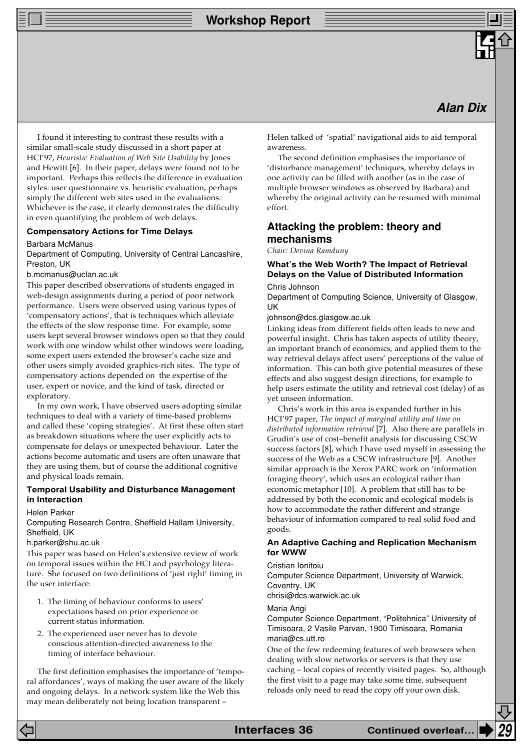**Workshop Report**

## **Alan Dix**

I found it interesting to contrast these results with a similar small-scale study discussed in a short paper at HCI'97, *Heuristic Evaluation of Web Site Usability* by Jones and Hewitt [6]. In their paper, delays were found not to be important. Perhaps this reflects the difference in evaluation styles: user questionnaire vs. heuristic evaluation, perhaps simply the different web sites used in the evaluations. Whichever is the case, it clearly demonstrates the difficulty in even quantifying the problem of web delays.

## **Compensatory Actions for Time Delays**

#### Barbara McManus

Department of Computing, University of Central Lancashire, Preston, UK

b.mcmanus@uclan.ac.uk

This paper described observations of students engaged in web-design assignments during a period of poor network performance. Users were observed using various types of 'compensatory actions', that is techniques which alleviate the effects of the slow response time. For example, some users kept several browser windows open so that they could work with one window whilst other windows were loading, some expert users extended the browser's cache size and other users simply avoided graphics-rich sites. The type of compensatory actions depended on the expertise of the user, expert or novice, and the kind of task, directed or exploratory.

In my own work, I have observed users adopting similar techniques to deal with a variety of time-based problems and called these 'coping strategies'. At first these often start as breakdown situations where the user explicitly acts to compensate for delays or unexpected behaviour. Later the actions become automatic and users are often unaware that they are using them, but of course the additional cognitive and physical loads remain.

### **Temporal Usability and Disturbance Management in Interaction**

#### Helen Parker

Computing Research Centre, Sheffield Hallam University, Sheffield, UK

#### h.parker@shu.ac.uk

This paper was based on Helen's extensive review of work on temporal issues within the HCI and psychology literature. She focused on two definitions of 'just right' timing in the user interface:

- 1. The timing of behaviour conforms to users' expectations based on prior experience or current status information.
- 2. The experienced user never has to devote conscious attention-directed awareness to the timing of interface behaviour.

The first definition emphasises the importance of 'temporal affordances', ways of making the user aware of the likely and ongoing delays. In a network system like the Web this may mean deliberately not being location transparent –

Helen talked of 'spatial' navigational aids to aid temporal awareness.

The second definition emphasises the importance of 'disturbance management' techniques, whereby delays in one activity can be filled with another (as in the case of multiple browser windows as observed by Barbara) and whereby the original activity can be resumed with minimal effort.

## **Attacking the problem: theory and mechanisms**

*Chair: Devina Ramduny*

## **What's the Web Worth? The Impact of Retrieval Delays on the Value of Distributed Information**

#### Chris Johnson

Department of Computing Science, University of Glasgow, UK

johnson@dcs.glasgow.ac.uk

Linking ideas from different fields often leads to new and powerful insight. Chris has taken aspects of utility theory, an important branch of economics, and applied them to the way retrieval delays affect users' perceptions of the value of information. This can both give potential measures of these effects and also suggest design directions, for example to help users estimate the utility and retrieval cost (delay) of as yet unseen information.

Chris's work in this area is expanded further in his HCI'97 paper, *The impact of marginal utility and time on distributed information retrieval* [7]. Also there are parallels in Grudin's use of cost–benefit analysis for discussing CSCW success factors [8], which I have used myself in assessing the success of the Web as a CSCW infrastructure [9]. Another similar approach is the Xerox PARC work on 'information foraging theory', which uses an ecological rather than economic metaphor [10]. A problem that still has to be addressed by both the economic and ecological models is how to accommodate the rather different and strange behaviour of information compared to real solid food and goods.

### **An Adaptive Caching and Replication Mechanism for WWW**

#### Cristian Ionitoiu

Computer Science Department, University of Warwick, Coventry, UK

chrisi@dcs.warwick.ac.uk

#### Maria Angi

Computer Science Department, "Politehnica" University of Timisoara, 2 Vasile Parvan, 1900 Timisoara, Romania maria@cs.utt.ro

One of the few redeeming features of web browsers when dealing with slow networks or servers is that they use caching – local copies of recently visited pages. So, although the first visit to a page may take some time, subsequent reloads only need to read the copy off your own disk.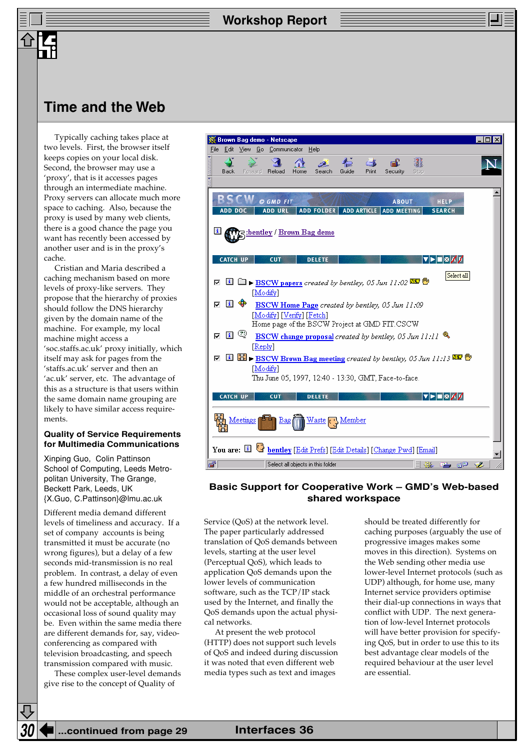## **Time and the Web**

Typically caching takes place at two levels. First, the browser itself keeps copies on your local disk. Second, the browser may use a 'proxy', that is it accesses pages through an intermediate machine. Proxy servers can allocate much more space to caching. Also, because the proxy is used by many web clients, there is a good chance the page you want has recently been accessed by another user and is in the proxy's cache.

Cristian and Maria described a caching mechanism based on more levels of proxy-like servers. They propose that the hierarchy of proxies should follow the DNS hierarchy given by the domain name of the machine. For example, my local machine might access a 'soc.staffs.ac.uk' proxy initially, which itself may ask for pages from the 'staffs.ac.uk' server and then an 'ac.uk' server, etc. The advantage of this as a structure is that users within the same domain name grouping are likely to have similar access requirements.

### **Quality of Service Requirements for Multimedia Communications**

Xinping Guo, Colin Pattinson School of Computing, Leeds Metropolitan University, The Grange, Beckett Park, Leeds, UK {X.Guo, C.Pattinson}@lmu.ac.uk

Different media demand different levels of timeliness and accuracy. If a set of company accounts is being transmitted it must be accurate (no wrong figures), but a delay of a few seconds mid-transmission is no real problem. In contrast, a delay of even a few hundred milliseconds in the middle of an orchestral performance would not be acceptable, although an occasional loss of sound quality may be. Even within the same media there are different demands for, say, videoconferencing as compared with television broadcasting, and speech transmission compared with music.

These complex user-level demands give rise to the concept of Quality of



## **Basic Support for Cooperative Work – GMD's Web-based shared workspace**

Service (QoS) at the network level. The paper particularly addressed translation of QoS demands between levels, starting at the user level (Perceptual QoS), which leads to application QoS demands upon the lower levels of communication software, such as the TCP/IP stack used by the Internet, and finally the QoS demands upon the actual physical networks.

At present the web protocol (HTTP) does not support such levels of QoS and indeed during discussion it was noted that even different web media types such as text and images

should be treated differently for caching purposes (arguably the use of progressive images makes some moves in this direction). Systems on the Web sending other media use lower-level Internet protocols (such as UDP) although, for home use, many Internet service providers optimise their dial-up connections in ways that conflict with UDP. The next generation of low-level Internet protocols will have better provision for specifying QoS, but in order to use this to its best advantage clear models of the required behaviour at the user level are essential.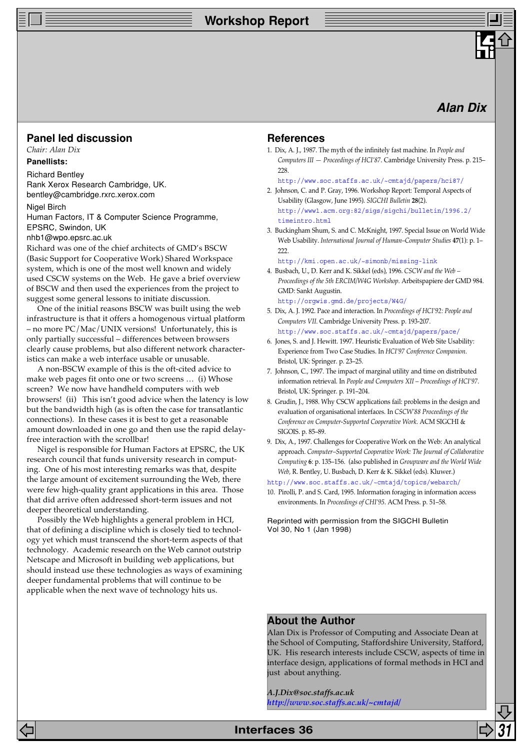## **Workshop Report**

## **Alan Dix**

## **Panel led discussion**

*Chair: Alan Dix*

### **Panellists:**

Richard Bentley Rank Xerox Research Cambridge, UK. bentley@cambridge.rxrc.xerox.com

Nigel Birch Human Factors, IT & Computer Science Programme,

EPSRC, Swindon, UK nhb1@wpo.epsrc.ac.uk

Richard was one of the chief architects of GMD's BSCW (Basic Support for Cooperative Work) Shared Workspace system, which is one of the most well known and widely used CSCW systems on the Web. He gave a brief overview of BSCW and then used the experiences from the project to suggest some general lessons to initiate discussion.

One of the initial reasons BSCW was built using the web infrastructure is that it offers a homogenous virtual platform – no more PC/Mac/UNIX versions! Unfortunately, this is only partially successful – differences between browsers clearly cause problems, but also different network characteristics can make a web interface usable or unusable.

A non-BSCW example of this is the oft-cited advice to make web pages fit onto one or two screens … (i) Whose screen? We now have handheld computers with web browsers! (ii) This isn't good advice when the latency is low but the bandwidth high (as is often the case for transatlantic connections). In these cases it is best to get a reasonable amount downloaded in one go and then use the rapid delayfree interaction with the scrollbar!

Nigel is responsible for Human Factors at EPSRC, the UK research council that funds university research in computing. One of his most interesting remarks was that, despite the large amount of excitement surrounding the Web, there were few high-quality grant applications in this area. Those that did arrive often addressed short-term issues and not deeper theoretical understanding.

Possibly the Web highlights a general problem in HCI, that of defining a discipline which is closely tied to technology yet which must transcend the short-term aspects of that technology. Academic research on the Web cannot outstrip Netscape and Microsoft in building web applications, but should instead use these technologies as ways of examining deeper fundamental problems that will continue to be applicable when the next wave of technology hits us.

## **References**

1. Dix, A. J., 1987. The myth of the infinitely fast machine. In *People and Computers III — Proceedings of HCI'87*. Cambridge University Press. p. 215– 228

[http://www.soc.staffs.ac.uk/~cmtajd/papers/hci87/](http://www.hcibook.com/alan/papers/hci87/)

- 2. Johnson, C. and P. Gray, 1996. Workshop Report: Temporal Aspects of Usability (Glasgow, June 1995). *SIGCHI Bulletin* **28**(2). [http://www1.acm.org:82/sigs/sigchi/bulletin/1996.2/](http://www1.acm.org:82/sigs/sigchi/bulletin/1996.2/timeintro.html) timeintro.html
- 3. Buckingham Shum, S. and C. McKnight, 1997. Special Issue on World Wide Web Usability. *International Journal of Human–Computer Studies* **47**(1): p. 1– 222.

<http://kmi.open.ac.uk/~simonb/missing-link>

- 4. Busbach, U., D. Kerr and K. Sikkel (eds), 1996. *CSCW and the Web – Proceedings of the 5th ERCIM/W4G Workshop*. Arbeitspapiere der GMD 984. GMD: Sankt Augustin. <http://orgwis.gmd.de/projects/W4G/>
- 5. Dix, A. J. 1992. Pace and interaction. In *Proceedings of HCI'92: People and Computers VII*. Cambridge University Press. p. 193-207. [http://www.soc.staffs.ac.uk/~cmtajd/papers/pace/](http://www.hcibook.com/alan/papers/pace/)
- 6. Jones, S. and J. Hewitt. 1997. Heuristic Evaluation of Web Site Usability: Experience from Two Case Studies. In *HCI'97 Conference Companion*. Bristol, UK: Springer. p. 23–25.
- 7. Johnson, C., 1997. The impact of marginal utility and time on distributed information retrieval. In *People and Computers XII – Proceedings of HCI'97*. Bristol, UK: Springer. p. 191–204.
- 8. Grudin, J., 1988. Why CSCW applications fail: problems in the design and evaluation of organisational interfaces. In *CSCW'88 Proceedings of the Conference on Computer-Supported Cooperative Work*. ACM SIGCHI & SIGOIS. p. 85–89.
- 9. Dix, A., 1997. Challenges for Cooperative Work on the Web: An analytical approach. *Computer–Supported Cooperative Work: The Journal of Collaborative Computing* **6**: p. 135–156. (also published in *Groupware and the World Wide Web,* R. Bentley, U. Busbach, D. Kerr & K. Sikkel (eds). Kluwer.)

[http://www.soc.staffs.ac.uk/~cmtajd/topics/webarch/](http://www.hcibook.com/alan/topics/webarch/)

10. Pirolli, P. and S. Card, 1995. Information foraging in information access environments. In *Proceedings of CHI'95*. ACM Press. p. 51–58.

Reprinted with permission from the SIGCHI Bulletin Vol 30, No 1 (Jan 1998)

## **About the Author**

Alan Dix is Professor of Computing and Associate Dean at the School of Computing, Staffordshire University, Stafford, UK. His research interests include CSCW, aspects of time in interface design, applications of formal methods in HCI and just about anything.

*A.J.Dix@soc.staffs.ac.uk [http://www.soc.staffs.ac.uk/~cmtajd/](http://www.hcibook.com/alan/)*